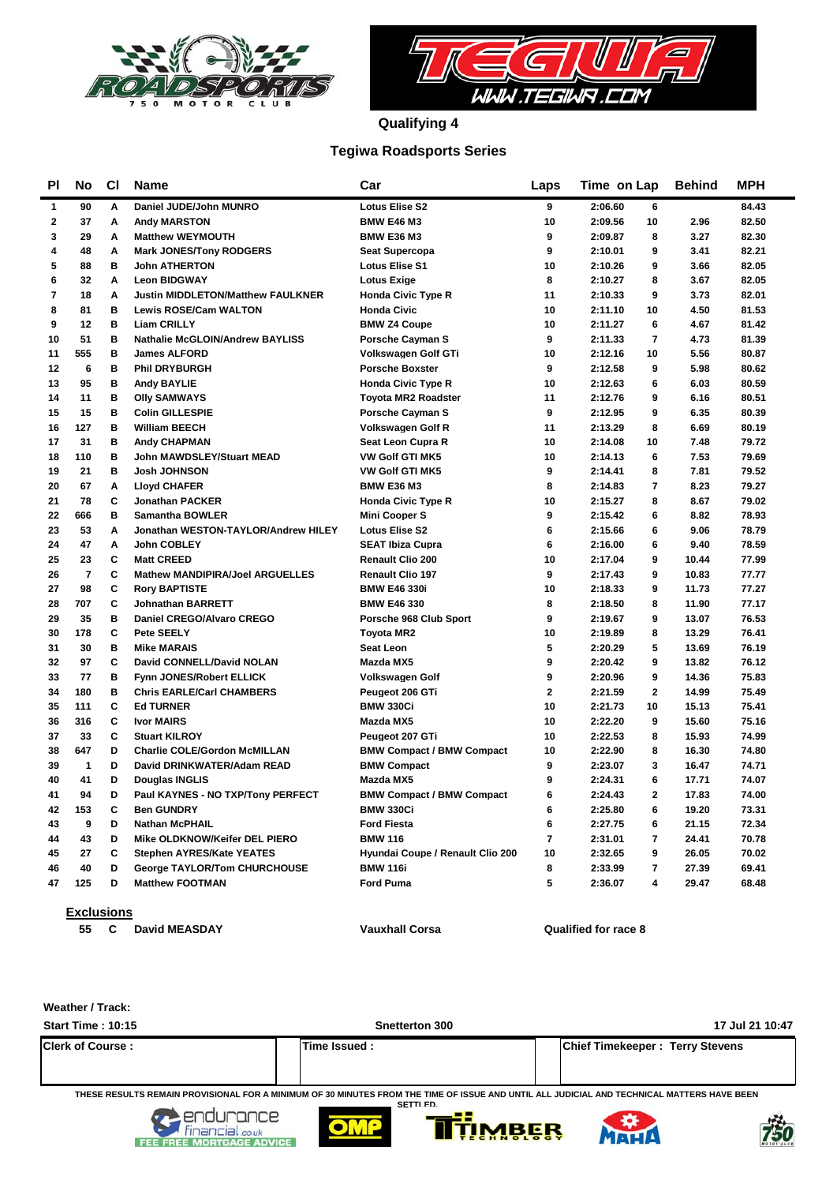



**Qualifying 4**

### **Tegiwa Roadsports Series**

| ΡI           | No                      | <b>CI</b> | <b>Name</b>                              | Car                              | Laps           | Time on Lap               | <b>Behind</b> | <b>MPH</b> |
|--------------|-------------------------|-----------|------------------------------------------|----------------------------------|----------------|---------------------------|---------------|------------|
| 1            | 90                      | A         | Daniel JUDE/John MUNRO                   | <b>Lotus Elise S2</b>            | 9              | 2:06.60<br>6              |               | 84.43      |
| $\mathbf{2}$ | 37                      | Α         | <b>Andy MARSTON</b>                      | <b>BMW E46 M3</b>                | 10             | 2:09.56<br>10             | 2.96          | 82.50      |
| 3            | 29                      | A         | <b>Matthew WEYMOUTH</b>                  | <b>BMW E36 M3</b>                | 9              | 8<br>2:09.87              | 3.27          | 82.30      |
| 4            | 48                      | A         | <b>Mark JONES/Tony RODGERS</b>           | <b>Seat Supercopa</b>            | 9              | 9<br>2:10.01              | 3.41          | 82.21      |
| 5            | 88                      | в         | <b>John ATHERTON</b>                     | <b>Lotus Elise S1</b>            | 10             | 9<br>2:10.26              | 3.66          | 82.05      |
| 6            | 32                      | A         | <b>Leon BIDGWAY</b>                      | <b>Lotus Exige</b>               | 8              | 8<br>2:10.27              | 3.67          | 82.05      |
| 7            | 18                      | A         | <b>Justin MIDDLETON/Matthew FAULKNER</b> | <b>Honda Civic Type R</b>        | 11             | 9<br>2:10.33              | 3.73          | 82.01      |
| 8            | 81                      | B         | <b>Lewis ROSE/Cam WALTON</b>             | <b>Honda Civic</b>               | 10             | 10<br>2:11.10             | 4.50          | 81.53      |
| 9            | 12                      | B         | <b>Liam CRILLY</b>                       | <b>BMW Z4 Coupe</b>              | 10             | 6<br>2:11.27              | 4.67          | 81.42      |
| 10           | 51                      | B         | <b>Nathalie McGLOIN/Andrew BAYLISS</b>   | <b>Porsche Cayman S</b>          | 9              | $\overline{7}$<br>2:11.33 | 4.73          | 81.39      |
| 11           | 555                     | B         | <b>James ALFORD</b>                      | Volkswagen Golf GTi              | 10             | 2:12.16<br>10             | 5.56          | 80.87      |
| 12           | 6                       | B         | <b>Phil DRYBURGH</b>                     | <b>Porsche Boxster</b>           | 9              | 2:12.58<br>9              | 5.98          | 80.62      |
| 13           | 95                      | в         | <b>Andy BAYLIE</b>                       | <b>Honda Civic Type R</b>        | 10             | 2:12.63<br>6              | 6.03          | 80.59      |
| 14           | 11                      | в         | <b>Olly SAMWAYS</b>                      | <b>Toyota MR2 Roadster</b>       | 11             | 2:12.76<br>9              | 6.16          | 80.51      |
| 15           | 15                      | в         | <b>Colin GILLESPIE</b>                   | <b>Porsche Cayman S</b>          | 9              | 2:12.95<br>9              | 6.35          | 80.39      |
| 16           | 127                     | в         | <b>William BEECH</b>                     | <b>Volkswagen Golf R</b>         | 11             | 8<br>2:13.29              | 6.69          | 80.19      |
| 17           | 31                      | в         | <b>Andy CHAPMAN</b>                      | Seat Leon Cupra R                | 10             | 2:14.08<br>10             | 7.48          | 79.72      |
| 18           | 110                     | в         | John MAWDSLEY/Stuart MEAD                | <b>VW Golf GTI MK5</b>           | 10             | 2:14.13<br>6              | 7.53          | 79.69      |
| 19           | 21                      | в         | <b>Josh JOHNSON</b>                      | <b>VW Golf GTI MK5</b>           | 9              | 8<br>2:14.41              | 7.81          | 79.52      |
| 20           | 67                      | Α         | <b>Lloyd CHAFER</b>                      | <b>BMW E36 M3</b>                | 8              | $\overline{7}$<br>2:14.83 | 8.23          | 79.27      |
| 21           | 78                      | C         | <b>Jonathan PACKER</b>                   | <b>Honda Civic Type R</b>        | 10             | 2:15.27<br>8              | 8.67          | 79.02      |
| 22           | 666                     | B         | <b>Samantha BOWLER</b>                   | <b>Mini Cooper S</b>             | 9              | 6<br>2:15.42              | 8.82          | 78.93      |
| 23           | 53                      | A         | Jonathan WESTON-TAYLOR/Andrew HILEY      | <b>Lotus Elise S2</b>            | 6              | 2:15.66<br>6              | 9.06          | 78.79      |
| 24           | 47                      | Α         | John COBLEY                              | <b>SEAT Ibiza Cupra</b>          | 6              | 2:16.00<br>6              | 9.40          | 78.59      |
| 25           | 23                      | C         | <b>Matt CREED</b>                        | Renault Clio 200                 | 10             | 2:17.04<br>9              | 10.44         | 77.99      |
| 26           | $\overline{\mathbf{r}}$ | C         | <b>Mathew MANDIPIRA/Joel ARGUELLES</b>   | <b>Renault Clio 197</b>          | 9              | 2:17.43<br>9              | 10.83         | 77.77      |
| 27           | 98                      | C         | <b>Rory BAPTISTE</b>                     | <b>BMW E46 330i</b>              | 10             | 2:18.33<br>9              | 11.73         | 77.27      |
| 28           | 707                     | C         | <b>Johnathan BARRETT</b>                 | <b>BMW E46 330</b>               | 8              | 8<br>2:18.50              | 11.90         | 77.17      |
| 29           | 35                      | в         | Daniel CREGO/Alvaro CREGO                | Porsche 968 Club Sport           | 9              | 9<br>2:19.67              | 13.07         | 76.53      |
| 30           | 178                     | C         | Pete SEELY                               | <b>Tovota MR2</b>                | 10             | 8<br>2:19.89              | 13.29         | 76.41      |
| 31           | 30                      | B         | <b>Mike MARAIS</b>                       | <b>Seat Leon</b>                 | 5              | 5<br>2:20.29              | 13.69         | 76.19      |
| 32           | 97                      | C         | David CONNELL/David NOLAN                | Mazda MX5                        | 9              | 2:20.42<br>9              | 13.82         | 76.12      |
| 33           | 77                      | B         | Fynn JONES/Robert ELLICK                 | <b>Volkswagen Golf</b>           | 9              | 9<br>2:20.96              | 14.36         | 75.83      |
| 34           | 180                     | B         | <b>Chris EARLE/Carl CHAMBERS</b>         | Peugeot 206 GTi                  | $\overline{2}$ | $\overline{2}$<br>2:21.59 | 14.99         | 75.49      |
| 35           | 111                     | C         | <b>Ed TURNER</b>                         | <b>BMW 330Ci</b>                 | 10             | 2:21.73<br>10             | 15.13         | 75.41      |
| 36           | 316                     | C         | <b>Ivor MAIRS</b>                        | Mazda MX5                        | 10             | 2:22.20<br>9              | 15.60         | 75.16      |
| 37           | 33                      | C         | <b>Stuart KILROY</b>                     | Peugeot 207 GTi                  | 10             | 2:22.53<br>8              | 15.93         | 74.99      |
| 38           | 647                     | D         | <b>Charlie COLE/Gordon McMILLAN</b>      | <b>BMW Compact / BMW Compact</b> | 10             | 2:22.90<br>8              | 16.30         | 74.80      |
| 39           | $\mathbf{1}$            | D         | David DRINKWATER/Adam READ               | <b>BMW Compact</b>               | 9              | 2:23.07<br>3              | 16.47         | 74.71      |
| 40           | 41                      | D         | Douglas INGLIS                           | Mazda MX5                        | 9              | 2:24.31<br>6              | 17.71         | 74.07      |
| 41           | 94                      | D         | Paul KAYNES - NO TXP/Tony PERFECT        | <b>BMW Compact / BMW Compact</b> | 6              | $\overline{2}$<br>2:24.43 | 17.83         | 74.00      |
| 42           | 153                     | C         | <b>Ben GUNDRY</b>                        | <b>BMW 330Ci</b>                 | 6              | 2:25.80<br>6              | 19.20         | 73.31      |
| 43           | 9                       | D         | <b>Nathan McPHAIL</b>                    | <b>Ford Fiesta</b>               | 6              | 2:27.75<br>6              | 21.15         | 72.34      |
| 44           | 43                      | D         | Mike OLDKNOW/Keifer DEL PIERO            | <b>BMW 116</b>                   | $\overline{7}$ | $\overline{7}$<br>2:31.01 | 24.41         | 70.78      |
| 45           | 27                      | C         | <b>Stephen AYRES/Kate YEATES</b>         | Hyundai Coupe / Renault Clio 200 | 10             | 9<br>2:32.65              | 26.05         | 70.02      |
| 46           | 40                      | D         | <b>George TAYLOR/Tom CHURCHOUSE</b>      | <b>BMW 116i</b>                  | 8              | $\overline{7}$<br>2:33.99 | 27.39         | 69.41      |
| 47           | 125                     | D         | <b>Matthew FOOTMAN</b>                   | <b>Ford Puma</b>                 | 5              | 2:36.07<br>4              | 29.47         | 68.48      |

**Exclusions**

**55 David MEASDAY Vauxhall Corsa C Qualified for race 8**

**Weather / Track:** 

| <b>Start Time: 10:15</b>                                                                                      | Snetterton 300                                                                                                                                                 | 17 Jul 21 10:47                        |
|---------------------------------------------------------------------------------------------------------------|----------------------------------------------------------------------------------------------------------------------------------------------------------------|----------------------------------------|
| <b>Clerk of Course:</b>                                                                                       | Time Issued:                                                                                                                                                   | <b>Chief Timekeeper: Terry Stevens</b> |
| the company's property of the company's company's company's company's company's company's company's company's | THESE RESULTS REMAIN PROVISIONAL FOR A MINIMUM OF 30 MINUTES FROM THE TIME OF ISSUE AND UNTIL ALL JUDICIAL AND TECHNICAL MATTERS HAVE BEEN<br><b>SETTI FD.</b> |                                        |









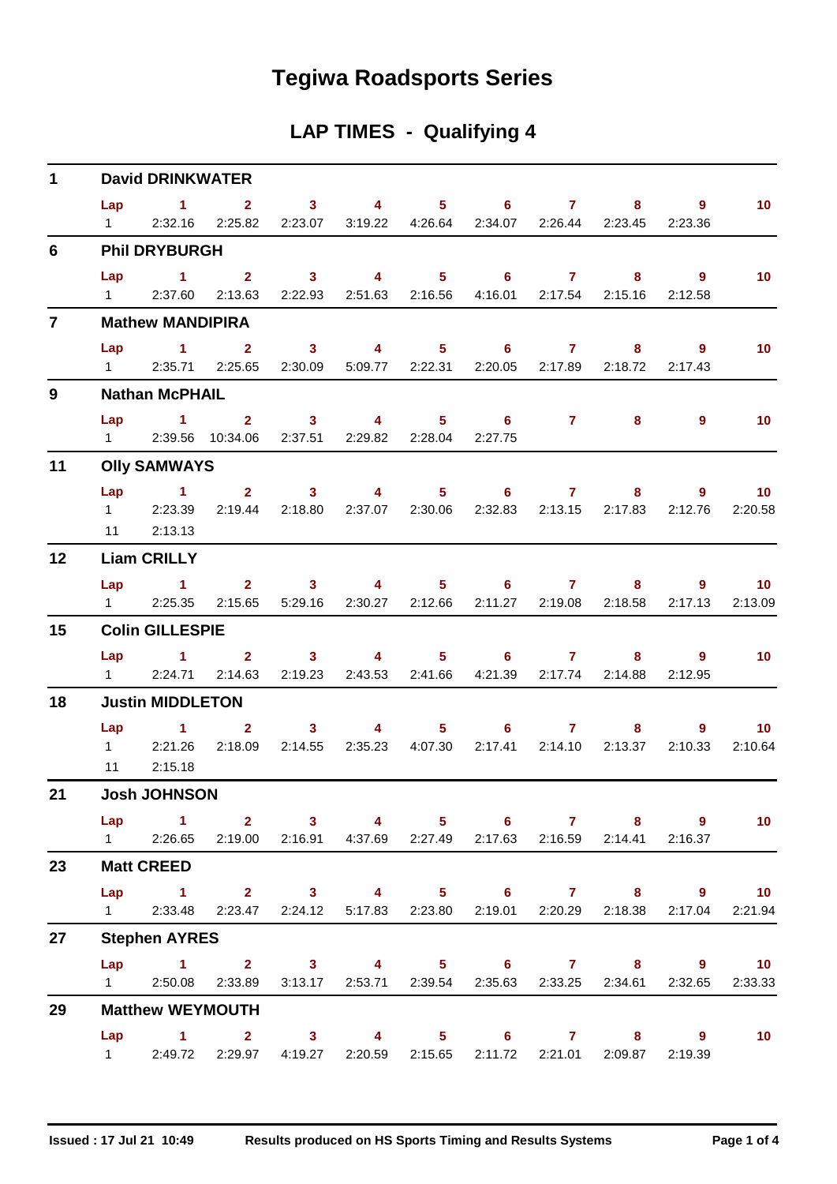# **Tegiwa Roadsports Series**

## **LAP TIMES - Qualifying 4**

| $\mathbf{1}$   |                       | <b>David DRINKWATER</b>                                                                                               |                                                                                                                                               |                                   |                                                      |                                   |                   |  |                |                                           |
|----------------|-----------------------|-----------------------------------------------------------------------------------------------------------------------|-----------------------------------------------------------------------------------------------------------------------------------------------|-----------------------------------|------------------------------------------------------|-----------------------------------|-------------------|--|----------------|-------------------------------------------|
|                | Lap<br>$1 \quad \Box$ |                                                                                                                       | $1 \qquad 2 \qquad 3 \qquad 4 \qquad 5 \qquad 6 \qquad 7 \qquad 8$<br>2:32.16 2:25.82 2:23.07 3:19.22 4:26.64 2:34.07 2:26.44 2:23.45 2:23.36 |                                   |                                                      |                                   |                   |  | $\overline{9}$ | 10 <sub>1</sub>                           |
| 6              |                       | <b>Phil DRYBURGH</b>                                                                                                  |                                                                                                                                               |                                   |                                                      |                                   |                   |  |                |                                           |
|                |                       |                                                                                                                       | Lap 1 2 3 4 5 6 7 8 9<br>1 2:37.60 2:13.63 2:22.93 2:51.63 2:16.56 4:16.01 2:17.54 2:15.16                                                    |                                   |                                                      |                                   |                   |  | 2:12.58        | 10 <sub>1</sub>                           |
| $\overline{7}$ |                       | <b>Mathew MANDIPIRA</b>                                                                                               |                                                                                                                                               |                                   |                                                      |                                   |                   |  |                |                                           |
|                | Lap                   | <b>Contract Advised Advised Advised Advised Advised Advised Advised Advised Advised Advised Advised Advised Advis</b> | 2 <sup>1</sup><br>1 2:35.71 2:25.65 2:30.09 5:09.77 2:22.31 2:20.05 2:17.89 2:18.72 2:17.43                                                   |                                   | 3 4 5 6 7                                            |                                   |                   |  | 9              | 10 <sub>1</sub>                           |
| 9              |                       | <b>Nathan McPHAIL</b>                                                                                                 |                                                                                                                                               |                                   |                                                      |                                   |                   |  |                |                                           |
|                |                       |                                                                                                                       | Lap 1 2 3 4 5 6 7 8<br>1 2:39.56 10:34.06 2:37.51 2:29.82 2:28.04 2:27.75                                                                     |                                   |                                                      |                                   |                   |  | $\overline{9}$ | 10                                        |
| 11             |                       | <b>Olly SAMWAYS</b>                                                                                                   |                                                                                                                                               |                                   |                                                      |                                   |                   |  |                |                                           |
|                |                       | Lap 1<br>11 2:13.13                                                                                                   | 1 2:23.39 2:19.44 2:18.80 2:37.07 2:30.06 2:32.83 2:13.15 2:17.83 2:12.76                                                                     |                                   | $2 \qquad 3 \qquad 4 \qquad 5 \qquad 6 \qquad 7$     |                                   |                   |  |                | $9 \t 10$<br>2:20.58                      |
| 12             |                       | <b>Liam CRILLY</b>                                                                                                    |                                                                                                                                               |                                   |                                                      |                                   |                   |  |                |                                           |
|                | Lap                   | $\sim$ $-1$                                                                                                           | 1 2:25.35 2:15.65 5:29.16 2:30.27 2:12.66 2:11.27 2:19.08 2:18.58 2:17.13                                                                     |                                   | $2 \qquad 3 \qquad 4 \qquad 5 \qquad 6 \qquad 7$     |                                   |                   |  | $8 - 1$        | $9 \qquad \qquad$<br>10<br>2:13.09        |
| 15             |                       | <b>Colin GILLESPIE</b>                                                                                                |                                                                                                                                               |                                   |                                                      |                                   |                   |  |                |                                           |
|                | $1 \quad \Box$        |                                                                                                                       | Lap 1 2 3 4 5 6 7<br>2:24.71 2:14.63                                                                                                          |                                   | 2:19.23  2:43.53  2:41.66  4:21.39  2:17.74  2:14.88 |                                   |                   |  | 9<br>2:12.95   | 10                                        |
| 18             |                       | <b>Justin MIDDLETON</b>                                                                                               |                                                                                                                                               |                                   |                                                      |                                   |                   |  |                |                                           |
|                |                       | Lap 1<br>1 2:21.26<br>11 2:15.18                                                                                      | 2 <sup>1</sup>                                                                                                                                | 3 <sup>7</sup><br>2:18.09 2:14.55 | 2:35.23  4:07.30  2:17.41  2:14.10  2:13.37  2:10.33 | $\overline{4}$ and $\overline{4}$ | $5 \t\t 6 \t\t 7$ |  |                | $9^{\circ}$<br>10 <sup>°</sup><br>2:10.64 |
| 21             |                       | <b>Josh JOHNSON</b>                                                                                                   |                                                                                                                                               |                                   |                                                      |                                   |                   |  |                |                                           |
|                |                       |                                                                                                                       | Lap 1 2 3 4 5 6 7 8 9<br>1 2:26.65 2:19.00 2:16.91 4:37.69 2:27.49 2:17.63 2:16.59 2:14.41 2:16.37                                            |                                   |                                                      |                                   |                   |  |                | 10 <sub>1</sub>                           |
| 23             |                       | <b>Matt CREED</b>                                                                                                     |                                                                                                                                               |                                   |                                                      |                                   |                   |  |                |                                           |
|                |                       |                                                                                                                       | Lap 1 2 3 4 5 6 7 8 9 10<br>1 2:33.48 2:23.47 2:24.12 5:17.83 2:23.80 2:19.01 2:20.29 2:18.38 2:17.04 2:21.94                                 |                                   |                                                      |                                   |                   |  |                |                                           |
| 27             |                       | <b>Stephen AYRES</b>                                                                                                  |                                                                                                                                               |                                   |                                                      |                                   |                   |  |                |                                           |
|                |                       |                                                                                                                       | Lap 1 2 3 4 5 6 7 8 9 10<br>1 2:50.08 2:33.89 3:13.17 2:53.71 2:39.54 2:35.63 2:33.25 2:34.61 2:32.65                                         |                                   |                                                      |                                   |                   |  |                | 2:33.33                                   |
| 29             |                       | <b>Matthew WEYMOUTH</b>                                                                                               |                                                                                                                                               |                                   |                                                      |                                   |                   |  |                |                                           |
|                |                       |                                                                                                                       | Lap 1 2 3 4 5 6 7 8 9<br>1 2:49.72 2:29.97 4:19.27 2:20.59 2:15.65 2:11.72 2:21.01 2:09.87                                                    |                                   |                                                      |                                   |                   |  | 2:19.39        | $\blacksquare$ 10                         |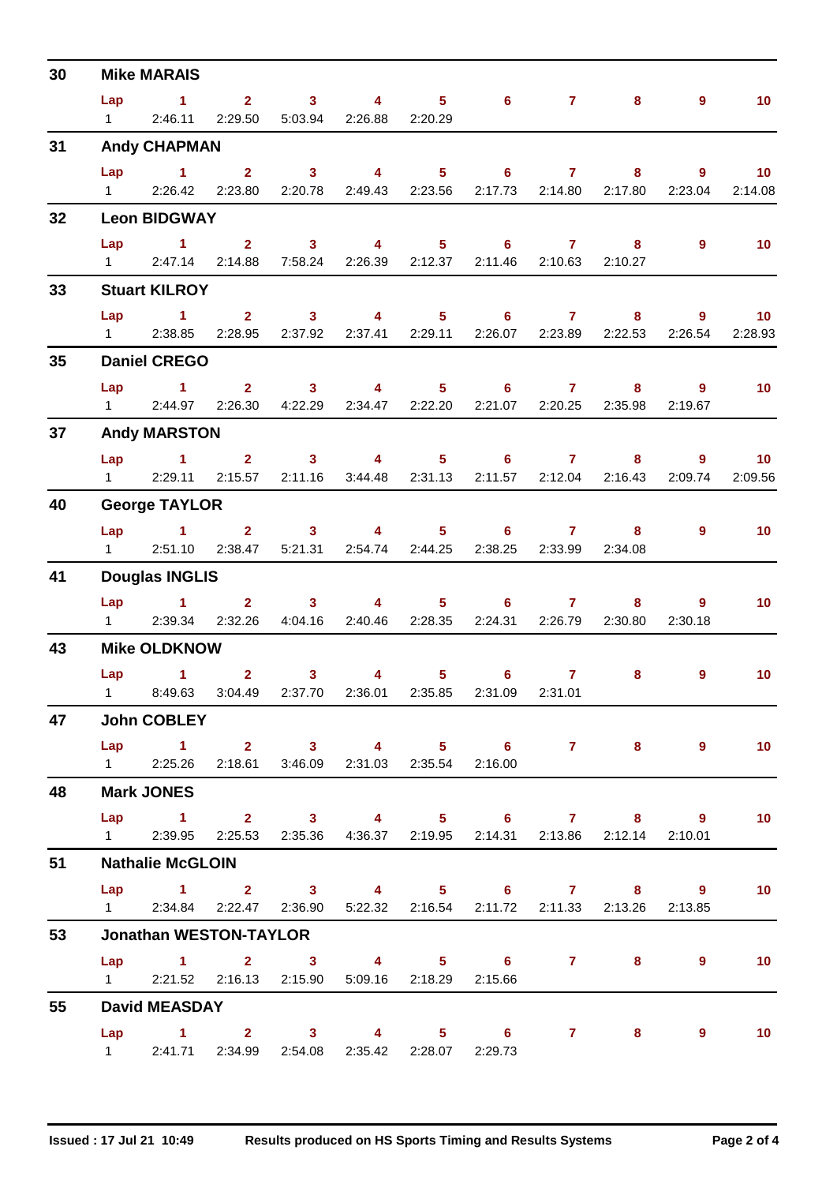| 30 | <b>Mike MARAIS</b>     |                                                                           |                                         |                                           |                         |  |                                                                        |                 |                           |                           |                          |  |
|----|------------------------|---------------------------------------------------------------------------|-----------------------------------------|-------------------------------------------|-------------------------|--|------------------------------------------------------------------------|-----------------|---------------------------|---------------------------|--------------------------|--|
|    | Lap                    | $\sim$ 1.1                                                                |                                         |                                           | $2 \t 3 \t 4$           |  | $5 \t\t 6 \t\t 7$                                                      |                 |                           | $9^{\circ}$<br>$8 - 1$    | 10 <sub>1</sub>          |  |
|    | $1 \quad \Box$         |                                                                           | 2:46.11 2:29.50 5:03.94 2:26.88 2:20.29 |                                           |                         |  |                                                                        |                 |                           |                           |                          |  |
| 31 |                        | <b>Andy CHAPMAN</b>                                                       |                                         |                                           |                         |  |                                                                        |                 |                           |                           |                          |  |
|    |                        | Lap 1                                                                     |                                         |                                           |                         |  | $2 \qquad 3 \qquad 4 \qquad 5 \qquad 6 \qquad 7 \qquad 8$              |                 |                           |                           | $9 \t 10$                |  |
|    | $1 \quad \blacksquare$ |                                                                           | 2:26.42 2:23.80                         |                                           | 2:20.78 2:49.43 2:23.56 |  |                                                                        | 2:17.73 2:14.80 | 2:17.80                   | 2:23.04                   | 2:14.08                  |  |
| 32 |                        | <b>Leon BIDGWAY</b>                                                       |                                         |                                           |                         |  |                                                                        |                 |                           |                           |                          |  |
|    | Lap                    | $\sim$ 1                                                                  |                                         | $2 \t 3$                                  |                         |  | 4 5 6 7                                                                |                 |                           | $9^{\circ}$<br>$8 - 1$    | $\overline{\mathbf{10}}$ |  |
|    |                        | 1 2:47.14 2:14.88 7:58.24 2:26.39 2:12.37 2:11.46 2:10.63 2:10.27         |                                         |                                           |                         |  |                                                                        |                 |                           |                           |                          |  |
| 33 |                        | <b>Stuart KILROY</b>                                                      |                                         |                                           |                         |  |                                                                        |                 |                           |                           |                          |  |
|    |                        | Lap 1 2 3 4 5 6 7 8                                                       |                                         |                                           |                         |  |                                                                        |                 |                           |                           | $9 \t 10$                |  |
|    |                        | 1 2:38.85 2:28.95 2:37.92 2:37.41 2:29.11 2:26.07 2:23.89 2:22.53 2:26.54 |                                         |                                           |                         |  |                                                                        |                 |                           |                           | 2:28.93                  |  |
| 35 |                        | <b>Daniel CREGO</b>                                                       |                                         |                                           |                         |  |                                                                        |                 |                           |                           |                          |  |
|    |                        | Lap 1 2 3 4 5 6 7                                                         |                                         |                                           |                         |  |                                                                        |                 |                           | $\overline{9}$<br>$8 - 1$ | 10 <sub>1</sub>          |  |
|    | $1 \quad \blacksquare$ |                                                                           |                                         |                                           |                         |  | 2:44.97  2:26.30  4:22.29  2:34.47  2:22.20  2:21.07  2:20.25  2:35.98 |                 |                           | 2:19.67                   |                          |  |
| 37 |                        | <b>Andy MARSTON</b>                                                       |                                         |                                           |                         |  |                                                                        |                 |                           |                           |                          |  |
|    |                        | $Lap$ $1$                                                                 |                                         |                                           |                         |  | 2 3 4 5 6 7 8                                                          |                 |                           | $9^{\circ}$               | 10 <sub>1</sub>          |  |
|    |                        | 1 2:29.11 2:15.57 2:11.16 3:44.48 2:31.13                                 |                                         |                                           |                         |  |                                                                        |                 | 2:11.57  2:12.04  2:16.43 | 2:09.74                   | 2:09.56                  |  |
| 40 |                        | <b>George TAYLOR</b>                                                      |                                         |                                           |                         |  |                                                                        |                 |                           |                           |                          |  |
|    |                        | $Lap$ 1                                                                   |                                         |                                           |                         |  | $2 \qquad 3 \qquad 4 \qquad 5 \qquad 6 \qquad 7$                       |                 |                           | $9^{\circ}$<br>$8 - 1$    | 10 <sub>1</sub>          |  |
|    |                        | 1 2:51.10 2:38.47 5:21.31 2:54.74 2:44.25 2:38.25 2:33.99 2:34.08         |                                         |                                           |                         |  |                                                                        |                 |                           |                           |                          |  |
| 41 |                        | <b>Douglas INGLIS</b>                                                     |                                         |                                           |                         |  |                                                                        |                 |                           |                           |                          |  |
|    |                        | Lap 1 2 3 4 5 6 7                                                         |                                         |                                           |                         |  |                                                                        |                 |                           | $8 - 1$<br>$\overline{9}$ | 10 <sub>1</sub>          |  |
|    |                        | 1 2:39.34 2:32.26 4:04.16 2:40.46 2:28.35                                 |                                         |                                           |                         |  |                                                                        |                 | 2:24.31 2:26.79 2:30.80   | 2:30.18                   |                          |  |
| 43 |                        | <b>Mike OLDKNOW</b>                                                       |                                         |                                           |                         |  |                                                                        |                 |                           |                           |                          |  |
|    |                        | Lap 1                                                                     |                                         | $\overline{\mathbf{2}}$<br>3 <sup>7</sup> | $\overline{4}$          |  | $5 \t\t 6 \t\t 7$                                                      |                 | 8                         | $\overline{9}$            | 10 <sup>°</sup>          |  |
|    |                        | 1 8:49.63 3:04.49 2:37.70 2:36.01 2:35.85 2:31.09 2:31.01                 |                                         |                                           |                         |  |                                                                        |                 |                           |                           |                          |  |
| 47 |                        | <b>John COBLEY</b>                                                        |                                         |                                           |                         |  |                                                                        |                 |                           |                           |                          |  |
|    |                        | Lap 1 2 3 4 5 6 7 8                                                       |                                         |                                           |                         |  |                                                                        |                 |                           | $\overline{9}$            | $\sim$ 10                |  |
|    |                        | 1 2:25.26 2:18.61 3:46.09 2:31.03 2:35.54 2:16.00                         |                                         |                                           |                         |  |                                                                        |                 |                           |                           |                          |  |
| 48 |                        | <b>Mark JONES</b>                                                         |                                         |                                           |                         |  |                                                                        |                 |                           |                           |                          |  |
|    |                        | Lap 1 2 3 4 5 6 7 8 9 10                                                  |                                         |                                           |                         |  |                                                                        |                 |                           |                           |                          |  |
|    |                        | 1 2:39.95 2:25.53 2:35.36 4:36.37 2:19.95 2:14.31 2:13.86 2:12.14 2:10.01 |                                         |                                           |                         |  |                                                                        |                 |                           |                           |                          |  |
| 51 |                        | <b>Nathalie McGLOIN</b>                                                   |                                         |                                           |                         |  |                                                                        |                 |                           |                           |                          |  |
|    |                        | Lap 1 2 3 4 5 6 7 8 9                                                     |                                         |                                           |                         |  |                                                                        |                 |                           |                           | 10                       |  |
|    |                        | 1 2:34.84 2:22.47 2:36.90 5:22.32 2:16.54 2:11.72 2:11.33 2:13.26 2:13.85 |                                         |                                           |                         |  |                                                                        |                 |                           |                           |                          |  |
| 53 |                        | <b>Jonathan WESTON-TAYLOR</b>                                             |                                         |                                           |                         |  |                                                                        |                 |                           |                           |                          |  |
|    |                        | Lap 1 2 3 4 5 6 7 8                                                       |                                         |                                           |                         |  |                                                                        |                 |                           | $9^{\circ}$               | $\blacksquare$ 10        |  |
|    |                        | 1 2:21.52 2:16.13 2:15.90 5:09.16 2:18.29 2:15.66                         |                                         |                                           |                         |  |                                                                        |                 |                           |                           |                          |  |
| 55 |                        | <b>David MEASDAY</b>                                                      |                                         |                                           |                         |  |                                                                        |                 |                           |                           |                          |  |
|    |                        | Lap 1 2 3 4 5 6 7 8 9                                                     |                                         |                                           |                         |  |                                                                        |                 |                           |                           | $\blacksquare$ 10        |  |
|    |                        | 1 2:41.71 2:34.99 2:54.08 2:35.42 2:28.07 2:29.73                         |                                         |                                           |                         |  |                                                                        |                 |                           |                           |                          |  |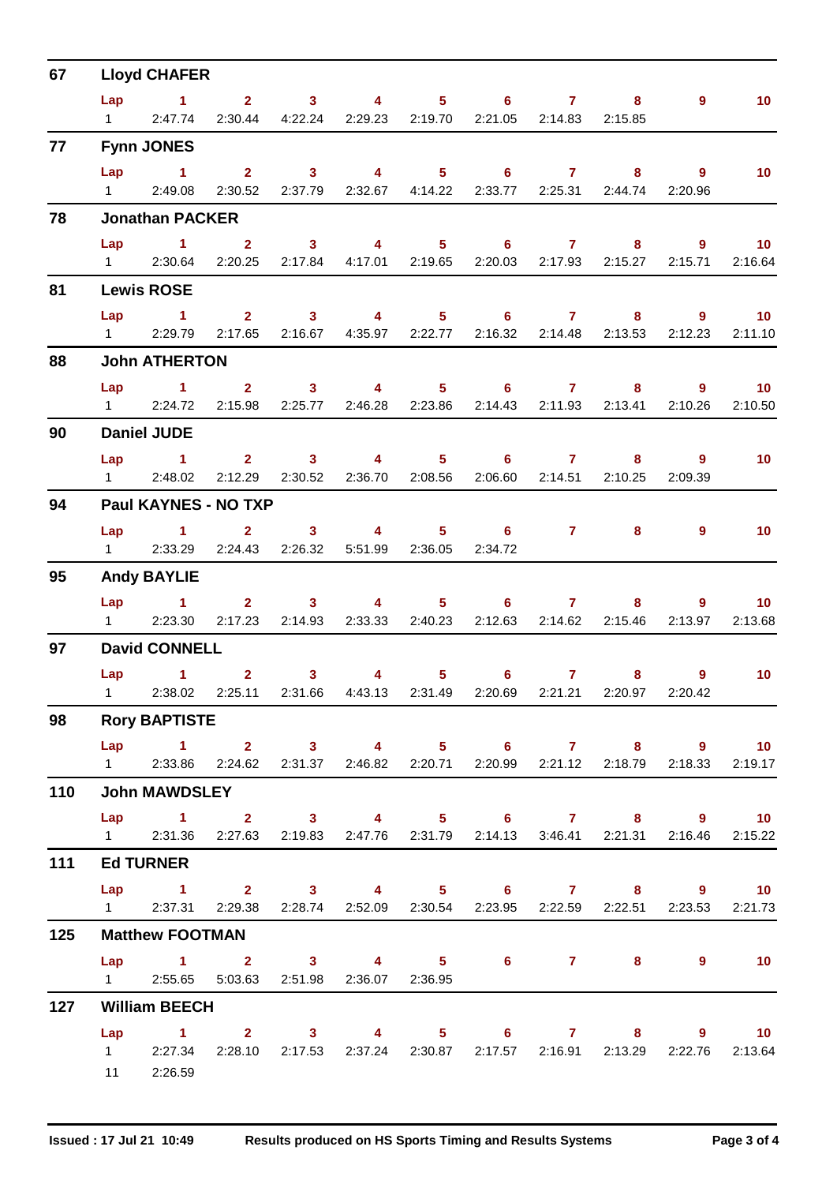| 67  | <b>Lloyd CHAFER</b> |                                                                                   |                                                                 |                                           |                                                                        |                                   |                          |                                   |                         |                           |                 |  |  |
|-----|---------------------|-----------------------------------------------------------------------------------|-----------------------------------------------------------------|-------------------------------------------|------------------------------------------------------------------------|-----------------------------------|--------------------------|-----------------------------------|-------------------------|---------------------------|-----------------|--|--|
|     |                     | Lap 1 2 3 4                                                                       |                                                                 |                                           |                                                                        |                                   | $5 \t\t 6 \t\t 7$        |                                   | 8                       | $9^{\circ}$               | 10 <sub>1</sub> |  |  |
|     |                     | 1 2:47.74 2:30.44 4:22.24 2:29.23 2:19.70 2:21.05 2:14.83 2:15.85                 |                                                                 |                                           |                                                                        |                                   |                          |                                   |                         |                           |                 |  |  |
| 77  |                     | <b>Fynn JONES</b>                                                                 |                                                                 |                                           |                                                                        |                                   |                          |                                   |                         |                           |                 |  |  |
|     |                     | Lap 1 2 3 4 5 6 7 8                                                               |                                                                 |                                           |                                                                        |                                   |                          |                                   |                         | 9                         | $-10$           |  |  |
|     |                     | 1 2:49.08                                                                         | 2:30.52 2:37.79 2:32.67 4:14.22 2:33.77 2:25.31 2:44.74 2:20.96 |                                           |                                                                        |                                   |                          |                                   |                         |                           |                 |  |  |
| 78  |                     | <b>Jonathan PACKER</b>                                                            |                                                                 |                                           |                                                                        |                                   |                          |                                   |                         |                           |                 |  |  |
|     | Lap                 | $\sim$ $\sim$ 1                                                                   | $2 \t 3$                                                        |                                           | 4 5 6 7 8                                                              |                                   |                          |                                   |                         |                           | $9 \t 10$       |  |  |
|     |                     | 1 2:30.64 2:20.25 2:17.84 4:17.01 2:19.65 2:20.03 2:17.93 2:15.27 2:15.71         |                                                                 |                                           |                                                                        |                                   |                          |                                   |                         |                           | 2:16.64         |  |  |
| 81  |                     | <b>Lewis ROSE</b>                                                                 |                                                                 |                                           |                                                                        |                                   |                          |                                   |                         |                           |                 |  |  |
|     |                     | $Lap$ 1                                                                           |                                                                 |                                           | $2 \qquad 3 \qquad 4 \qquad 5 \qquad 6 \qquad 7 \qquad 8$              |                                   |                          |                                   |                         |                           | $9 \t 10$       |  |  |
|     |                     | 1 2:29.79 2:17.65 2:16.67 4:35.97 2:22.77 2:16.32 2:14.48 2:13.53 2:12.23         |                                                                 |                                           |                                                                        |                                   |                          |                                   |                         |                           | 2:11.10         |  |  |
| 88  |                     | <b>John ATHERTON</b>                                                              |                                                                 |                                           |                                                                        |                                   |                          |                                   |                         |                           |                 |  |  |
|     |                     | Lap 1 2 3 4 5 6 7                                                                 |                                                                 |                                           |                                                                        |                                   |                          |                                   |                         | $8 - 1$                   | $9$ 10          |  |  |
|     |                     | 12:24.72                                                                          |                                                                 |                                           | 2:15.98  2:25.77  2:46.28  2:23.86  2:14.43  2:11.93  2:13.41  2:10.26 |                                   |                          |                                   |                         |                           | 2:10.50         |  |  |
| 90  |                     | <b>Daniel JUDE</b>                                                                |                                                                 |                                           |                                                                        |                                   |                          |                                   |                         |                           |                 |  |  |
|     |                     | $Lap$ $1$                                                                         |                                                                 |                                           | $2 \qquad 3 \qquad 4 \qquad 5 \qquad 6 \qquad 7 \qquad 8$              |                                   |                          |                                   |                         | $\overline{9}$            | 10              |  |  |
|     |                     | 1 2:48.02 2:12.29 2:30.52 2:36.70 2:08.56                                         |                                                                 |                                           |                                                                        |                                   |                          |                                   | 2:06.60 2:14.51 2:10.25 | 2:09.39                   |                 |  |  |
| 94  |                     | Paul KAYNES - NO TXP                                                              |                                                                 |                                           |                                                                        |                                   |                          |                                   |                         |                           |                 |  |  |
|     | Lap                 | $\sim$ 1.000 $\sim$ 1.000 $\sim$                                                  | $\mathbf{2}$                                                    |                                           | $3 \qquad \qquad 4 \qquad \qquad$                                      |                                   | $5 \t\t 6 \t\t 7 \t\t 8$ |                                   |                         | $\overline{9}$            | 10              |  |  |
|     |                     | 1 2:33.29 2:24.43 2:26.32 5:51.99 2:36.05 2:34.72                                 |                                                                 |                                           |                                                                        |                                   |                          |                                   |                         |                           |                 |  |  |
| 95  |                     | <b>Andy BAYLIE</b>                                                                |                                                                 |                                           |                                                                        |                                   |                          |                                   |                         |                           |                 |  |  |
|     |                     | Lap 1 2 3 4 5 6 7 8                                                               |                                                                 |                                           |                                                                        |                                   |                          |                                   |                         |                           | $9 \t 10$       |  |  |
|     |                     | 1 2:23.30 2:17.23 2:14.93 2:33.33 2:40.23 2:12.63 2:14.62 2:15.46                 |                                                                 |                                           |                                                                        |                                   |                          |                                   |                         | 2:13.97                   | 2:13.68         |  |  |
| 97  |                     | <b>David CONNELL</b>                                                              |                                                                 |                                           |                                                                        |                                   |                          |                                   |                         |                           |                 |  |  |
|     |                     | Lap 1                                                                             |                                                                 | $\overline{\mathbf{2}}$<br>3 <sup>7</sup> |                                                                        | $\overline{4}$ and $\overline{4}$ | $5 - 1$                  | $6 \qquad \qquad 7 \qquad \qquad$ |                         | $8 - 1$<br>$\overline{9}$ | $\overline{10}$ |  |  |
|     |                     | 1 2:38.02 2:25.11 2:31.66 4:43.13 2:31.49 2:20.69 2:21.21 2:20.97 2:20.42         |                                                                 |                                           |                                                                        |                                   |                          |                                   |                         |                           |                 |  |  |
| 98  |                     | <b>Rory BAPTISTE</b>                                                              |                                                                 |                                           |                                                                        |                                   |                          |                                   |                         |                           |                 |  |  |
|     |                     | Lap 1 2 3 4 5 6 7 8 9 10                                                          |                                                                 |                                           |                                                                        |                                   |                          |                                   |                         |                           |                 |  |  |
|     |                     | 1 2:33.86 2:24.62 2:31.37 2:46.82 2:20.71 2:20.99 2:21.12 2:18.79 2:18.33 2:19.17 |                                                                 |                                           |                                                                        |                                   |                          |                                   |                         |                           |                 |  |  |
| 110 |                     | <b>John MAWDSLEY</b>                                                              |                                                                 |                                           |                                                                        |                                   |                          |                                   |                         |                           |                 |  |  |
|     |                     | Lap 1 2 3 4 5 6 7 8 9 10                                                          |                                                                 |                                           |                                                                        |                                   |                          |                                   |                         |                           |                 |  |  |
|     |                     | 1 2:31.36 2:27.63 2:19.83 2:47.76 2:31.79 2:14.13 3:46.41 2:21.31 2:16.46 2:15.22 |                                                                 |                                           |                                                                        |                                   |                          |                                   |                         |                           |                 |  |  |
| 111 |                     | <b>Ed TURNER</b>                                                                  |                                                                 |                                           |                                                                        |                                   |                          |                                   |                         |                           |                 |  |  |
|     |                     | Lap 1 2 3 4 5 6 7 8 9 10                                                          |                                                                 |                                           |                                                                        |                                   |                          |                                   |                         |                           |                 |  |  |
|     |                     | 1 2:37.31 2:29.38 2:28.74 2:52.09 2:30.54 2:23.95 2:22.59 2:22.51 2:23.53 2:21.73 |                                                                 |                                           |                                                                        |                                   |                          |                                   |                         |                           |                 |  |  |
| 125 |                     | <b>Matthew FOOTMAN</b>                                                            |                                                                 |                                           |                                                                        |                                   |                          |                                   |                         |                           |                 |  |  |
|     |                     | Lap 1 2 3 4 5 6 7 8                                                               |                                                                 |                                           |                                                                        |                                   |                          |                                   |                         | $9^{\circ}$               | $\sim$ 10       |  |  |
|     |                     | 1 2:55.65 5:03.63 2:51.98 2:36.07 2:36.95                                         |                                                                 |                                           |                                                                        |                                   |                          |                                   |                         |                           |                 |  |  |
| 127 |                     | <b>William BEECH</b>                                                              |                                                                 |                                           |                                                                        |                                   |                          |                                   |                         |                           |                 |  |  |
|     |                     | Lap 1 2 3 4 5 6 7 8 9 10                                                          |                                                                 |                                           |                                                                        |                                   |                          |                                   |                         |                           |                 |  |  |
|     |                     | 1 2:27.34 2:28.10 2:17.53 2:37.24 2:30.87 2:17.57 2:16.91 2:13.29 2:22.76 2:13.64 |                                                                 |                                           |                                                                        |                                   |                          |                                   |                         |                           |                 |  |  |
|     |                     | 11 2:26.59                                                                        |                                                                 |                                           |                                                                        |                                   |                          |                                   |                         |                           |                 |  |  |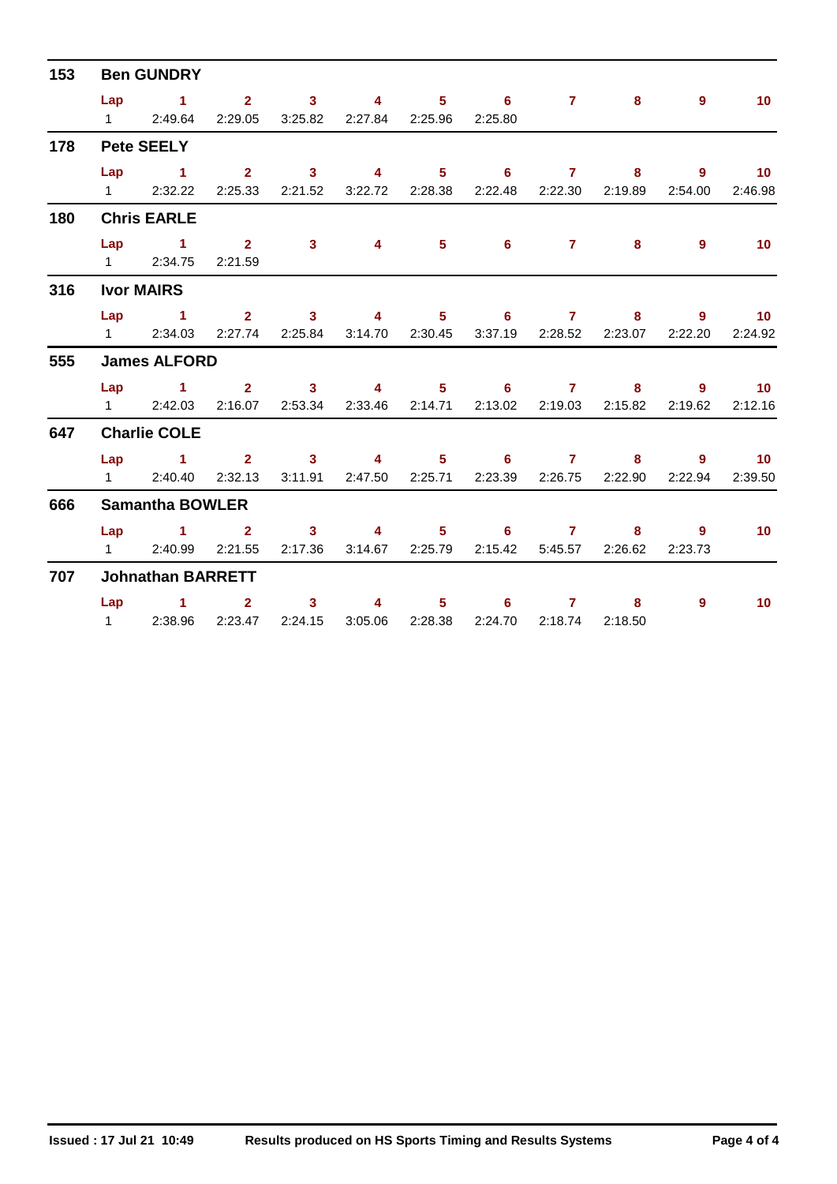| 153 | <b>Ben GUNDRY</b> |                                                                           |  |          |                |                 |                   |  |                                                               |         |                   |  |  |  |
|-----|-------------------|---------------------------------------------------------------------------|--|----------|----------------|-----------------|-------------------|--|---------------------------------------------------------------|---------|-------------------|--|--|--|
|     |                   | Lap 1 2 3 4 5 6 7 8                                                       |  |          |                |                 |                   |  |                                                               | 9       | 10 <sup>°</sup>   |  |  |  |
|     |                   | 1 2:49.64 2:29.05 3:25.82 2:27.84 2:25.96 2:25.80                         |  |          |                |                 |                   |  |                                                               |         |                   |  |  |  |
| 178 |                   | <b>Pete SEELY</b>                                                         |  |          |                |                 |                   |  |                                                               |         |                   |  |  |  |
|     |                   | Lap 1 2 3 4 5 6 7 8 9 10                                                  |  |          |                |                 |                   |  |                                                               |         |                   |  |  |  |
|     |                   | 1 2:32.22 2:25.33 2:21.52 3:22.72 2:28.38 2:22.48 2:22.30 2:19.89 2:54.00 |  |          |                |                 |                   |  |                                                               |         | 2:46.98           |  |  |  |
| 180 |                   | <b>Chris EARLE</b>                                                        |  |          |                |                 |                   |  |                                                               |         |                   |  |  |  |
|     |                   | Lap 1 2 3 4 5 6 7 8 9                                                     |  |          |                |                 |                   |  |                                                               |         | $\blacksquare$ 10 |  |  |  |
|     |                   | 1 2:34.75 2:21.59                                                         |  |          |                |                 |                   |  |                                                               |         |                   |  |  |  |
| 316 |                   | <b>Ivor MAIRS</b>                                                         |  |          |                |                 |                   |  |                                                               |         |                   |  |  |  |
|     |                   | Lap 1 2 3 4 5 6 7 8                                                       |  |          |                |                 |                   |  |                                                               |         | $9 \t 10$         |  |  |  |
|     |                   | 1 2:34.03 2:27.74 2:25.84 3:14.70 2:30.45 3:37.19 2:28.52 2:23.07         |  |          |                |                 |                   |  |                                                               | 2:22.20 | 2:24.92           |  |  |  |
| 555 |                   | <b>James ALFORD</b>                                                       |  |          |                |                 |                   |  |                                                               |         |                   |  |  |  |
|     |                   | Lap 1 2 3 4 5 6 7 8 9 10                                                  |  |          |                |                 |                   |  |                                                               |         |                   |  |  |  |
|     |                   | 1 2:42.03 2:16.07 2:53.34 2:33.46 2:14.71 2:13.02 2:19.03 2:15.82 2:19.62 |  |          |                |                 |                   |  |                                                               |         | 2:12.16           |  |  |  |
| 647 |                   | <b>Charlie COLE</b>                                                       |  |          |                |                 |                   |  |                                                               |         |                   |  |  |  |
|     |                   | Lap 1 2 3 4 5 6 7 8 9 10                                                  |  |          |                |                 |                   |  |                                                               |         |                   |  |  |  |
|     |                   | 1 2:40.40 2:32.13                                                         |  |          |                |                 |                   |  | 3:11.91  2:47.50  2:25.71  2:23.39  2:26.75  2:22.90  2:22.94 |         | 2:39.50           |  |  |  |
| 666 |                   | <b>Samantha BOWLER</b>                                                    |  |          |                |                 |                   |  |                                                               |         |                   |  |  |  |
|     |                   | Lap 1 2 3 4 5 6 7 8 9                                                     |  |          |                |                 |                   |  |                                                               |         | $-10$             |  |  |  |
|     |                   | 1 2:40.99 2:21.55                                                         |  | 2:17.36  |                | 3:14.67 2:25.79 |                   |  | 2:15.42   5:45.57   2:26.62                                   | 2:23.73 |                   |  |  |  |
| 707 |                   | <b>Johnathan BARRETT</b>                                                  |  |          |                |                 |                   |  |                                                               |         |                   |  |  |  |
|     |                   | $Lap$ 1 2                                                                 |  | $\sim$ 3 | $\overline{4}$ |                 | $5 \t\t 6 \t\t 7$ |  | 8                                                             | 9       | 10 <sup>°</sup>   |  |  |  |
|     |                   | 1 2:38.96 2:23.47 2:24.15 3:05.06 2:28.38 2:24.70 2:18.74 2:18.50         |  |          |                |                 |                   |  |                                                               |         |                   |  |  |  |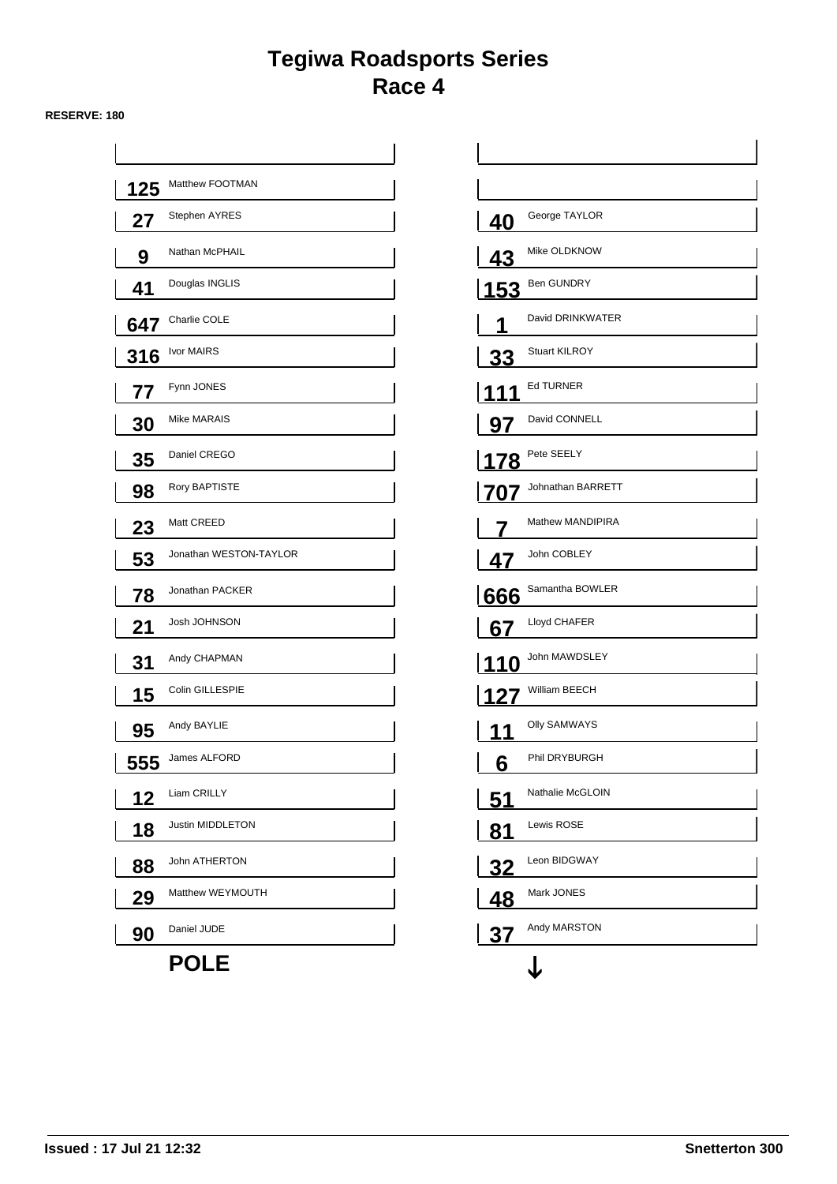## **Tegiwa Roadsports Series Race 4**

#### **RESERVE: 180**

| 125 | Matthew FOOTMAN        |             |                      |
|-----|------------------------|-------------|----------------------|
| 27  | Stephen AYRES          | 40          | George TAYLOR        |
| 9   | Nathan McPHAIL         | 43          | Mike OLDKNOW         |
| 41  | Douglas INGLIS         | <u> 153</u> | <b>Ben GUNDRY</b>    |
| 647 | Charlie COLE           |             | David DRINKWATER     |
| 316 | Ivor MAIRS             | <u>33</u>   | <b>Stuart KILROY</b> |
| 77  | Fynn JONES             |             | <b>Ed TURNER</b>     |
| 30  | Mike MARAIS            | <u>97</u>   | David CONNELL        |
| 35  | Daniel CREGO           | 178         | Pete SEELY           |
| 98  | Rory BAPTISTE          | 707         | Johnathan BARRETT    |
| 23  | Matt CREED             |             | Mathew MANDIPIRA     |
| 53  | Jonathan WESTON-TAYLOR | 47          | John COBLEY          |
| 78  | Jonathan PACKER        | 666         | Samantha BOWLER      |
| 21  | Josh JOHNSON           | 67          | Lloyd CHAFER         |
| 31  | Andy CHAPMAN           | 11<br>0     | John MAWDSLEY        |
| 15  | Colin GILLESPIE        | 127         | William BEECH        |
| 95  | Andy BAYLIE            | 1           | <b>Olly SAMWAYS</b>  |
| 555 | James ALFORD           | 6           | Phil DRYBURGH        |
| 12  | Liam CRILLY            | <u>51</u>   | Nathalie McGLOIN     |
| 18  | Justin MIDDLETON       | <u>81</u>   | Lewis ROSE           |
| 88  | John ATHERTON          | <u>32</u>   | Leon BIDGWAY         |
| 29  | Matthew WEYMOUTH       | <u>48</u>   | Mark JONES           |
| 90  | Daniel JUDE            | <u>37</u>   | Andy MARSTON         |
|     | <b>POLE</b>            |             |                      |

| <u>40</u> | George TAYLOR        |
|-----------|----------------------|
| 43        | Mike OLDKNOW         |
|           | <b>Ben GUNDRY</b>    |
|           | David DRINKWATER     |
| 33        | <b>Stuart KILROY</b> |
|           | <b>Ed TURNER</b>     |
| 97        | David CONNELL        |
| 178       | Pete SEELY           |
| 707       | Johnathan BARRETT    |
|           | Mathew MANDIPIRA     |
| 47        | John COBLEY          |
| 666       | Samantha BOWLER      |
| 67        | Lloyd CHAFER         |
|           | John MAWDSLEY        |
|           | William BEECH        |
|           | <b>Olly SAMWAYS</b>  |
| <b>6</b>  | Phil DRYBURGH        |
| 51        | Nathalie McGLOIN     |
| <u>81</u> | Lewis ROSE           |
| 32        | Leon BIDGWAY         |
| 48        | Mark JONES           |
| 37        | Andy MARSTON         |
|           | п                    |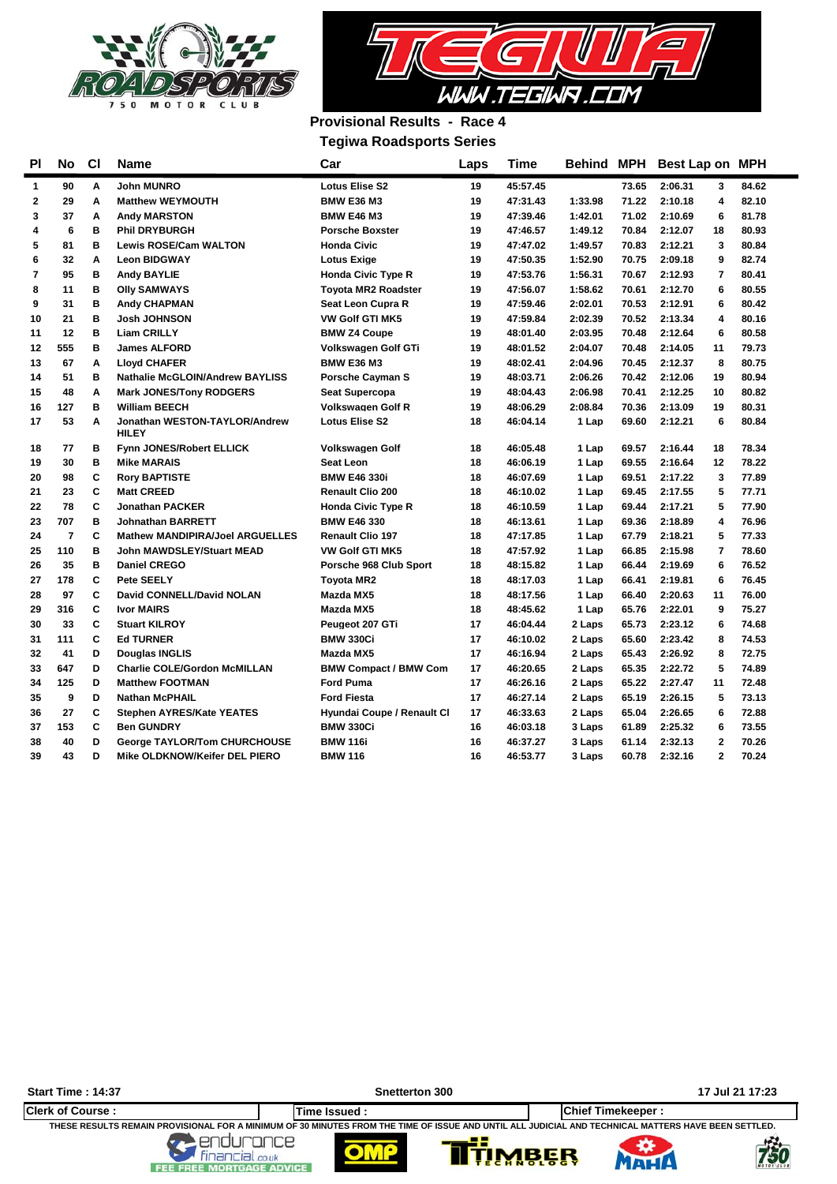



## **Provisional Results - Race 4 Tegiwa Roadsports Series**

| <b>PI</b>    | No             | <b>CI</b> | Name                                          | Car                          | Laps | Time     |         |       | Behind MPH Best Lap on MPH |                |       |
|--------------|----------------|-----------|-----------------------------------------------|------------------------------|------|----------|---------|-------|----------------------------|----------------|-------|
| 1            | 90             | Α         | <b>John MUNRO</b>                             | <b>Lotus Elise S2</b>        | 19   | 45:57.45 |         | 73.65 | 2:06.31                    | 3              | 84.62 |
| $\mathbf{2}$ | 29             | A         | <b>Matthew WEYMOUTH</b>                       | <b>BMW E36 M3</b>            | 19   | 47:31.43 | 1:33.98 | 71.22 | 2:10.18                    | 4              | 82.10 |
| 3            | 37             | A         | <b>Andy MARSTON</b>                           | <b>BMW E46 M3</b>            | 19   | 47:39.46 | 1:42.01 | 71.02 | 2:10.69                    | 6              | 81.78 |
| 4            | 6              | B         | <b>Phil DRYBURGH</b>                          | <b>Porsche Boxster</b>       | 19   | 47:46.57 | 1:49.12 | 70.84 | 2:12.07                    | 18             | 80.93 |
| 5            | 81             | в         | <b>Lewis ROSE/Cam WALTON</b>                  | <b>Honda Civic</b>           | 19   | 47:47.02 | 1:49.57 | 70.83 | 2:12.21                    | 3              | 80.84 |
| 6            | 32             | A         | <b>Leon BIDGWAY</b>                           | <b>Lotus Exige</b>           | 19   | 47:50.35 | 1:52.90 | 70.75 | 2:09.18                    | 9              | 82.74 |
| 7            | 95             | в         | <b>Andy BAYLIE</b>                            | <b>Honda Civic Type R</b>    | 19   | 47:53.76 | 1:56.31 | 70.67 | 2:12.93                    | 7              | 80.41 |
| 8            | 11             | B         | <b>Olly SAMWAYS</b>                           | <b>Toyota MR2 Roadster</b>   | 19   | 47:56.07 | 1:58.62 | 70.61 | 2:12.70                    | 6              | 80.55 |
| 9            | 31             | B         | <b>Andy CHAPMAN</b>                           | <b>Seat Leon Cupra R</b>     | 19   | 47:59.46 | 2:02.01 | 70.53 | 2:12.91                    | 6              | 80.42 |
| 10           | 21             | в         | <b>Josh JOHNSON</b>                           | <b>VW Golf GTI MK5</b>       | 19   | 47:59.84 | 2:02.39 | 70.52 | 2:13.34                    | 4              | 80.16 |
| 11           | 12             | в         | <b>Liam CRILLY</b>                            | <b>BMW Z4 Coupe</b>          | 19   | 48:01.40 | 2:03.95 | 70.48 | 2:12.64                    | 6              | 80.58 |
| 12           | 555            | в         | <b>James ALFORD</b>                           | Volkswagen Golf GTi          | 19   | 48:01.52 | 2:04.07 | 70.48 | 2:14.05                    | 11             | 79.73 |
| 13           | 67             | A         | <b>Lloyd CHAFER</b>                           | <b>BMW E36 M3</b>            | 19   | 48:02.41 | 2:04.96 | 70.45 | 2:12.37                    | 8              | 80.75 |
| 14           | 51             | в         | <b>Nathalie McGLOIN/Andrew BAYLISS</b>        | <b>Porsche Cayman S</b>      | 19   | 48:03.71 | 2:06.26 | 70.42 | 2:12.06                    | 19             | 80.94 |
| 15           | 48             | A         | <b>Mark JONES/Tony RODGERS</b>                | <b>Seat Supercopa</b>        | 19   | 48:04.43 | 2:06.98 | 70.41 | 2:12.25                    | 10             | 80.82 |
| 16           | 127            | в         | <b>William BEECH</b>                          | <b>Volkswagen Golf R</b>     | 19   | 48:06.29 | 2:08.84 | 70.36 | 2:13.09                    | 19             | 80.31 |
| 17           | 53             | A         | Jonathan WESTON-TAYLOR/Andrew<br><b>HILEY</b> | <b>Lotus Elise S2</b>        | 18   | 46:04.14 | 1 Lap   | 69.60 | 2:12.21                    | 6              | 80.84 |
| 18           | 77             | в         | <b>Fynn JONES/Robert ELLICK</b>               | Volkswagen Golf              | 18   | 46:05.48 | 1 Lap   | 69.57 | 2:16.44                    | 18             | 78.34 |
| 19           | 30             | B         | <b>Mike MARAIS</b>                            | Seat Leon                    | 18   | 46:06.19 | 1 Lap   | 69.55 | 2:16.64                    | 12             | 78.22 |
| 20           | 98             | C         | <b>Rory BAPTISTE</b>                          | <b>BMW E46 330i</b>          | 18   | 46:07.69 | 1 Lap   | 69.51 | 2:17.22                    | 3              | 77.89 |
| 21           | 23             | C         | <b>Matt CREED</b>                             | <b>Renault Clio 200</b>      | 18   | 46:10.02 | 1 Lap   | 69.45 | 2:17.55                    | 5              | 77.71 |
| 22           | 78             | C         | <b>Jonathan PACKER</b>                        | <b>Honda Civic Type R</b>    | 18   | 46:10.59 | 1 Lap   | 69.44 | 2:17.21                    | 5              | 77.90 |
| 23           | 707            | в         | <b>Johnathan BARRETT</b>                      | <b>BMW E46 330</b>           | 18   | 46:13.61 | 1 Lap   | 69.36 | 2:18.89                    | 4              | 76.96 |
| 24           | $\overline{7}$ | C         | <b>Mathew MANDIPIRA/Joel ARGUELLES</b>        | <b>Renault Clio 197</b>      | 18   | 47:17.85 | 1 Lap   | 67.79 | 2:18.21                    | 5              | 77.33 |
| 25           | 110            | B         | <b>John MAWDSLEY/Stuart MEAD</b>              | <b>VW Golf GTI MK5</b>       | 18   | 47:57.92 | 1 Lap   | 66.85 | 2:15.98                    | $\overline{7}$ | 78.60 |
| 26           | 35             | в         | <b>Daniel CREGO</b>                           | Porsche 968 Club Sport       | 18   | 48:15.82 | 1 Lap   | 66.44 | 2:19.69                    | 6              | 76.52 |
| 27           | 178            | C         | Pete SEELY                                    | <b>Toyota MR2</b>            | 18   | 48:17.03 | 1 Lap   | 66.41 | 2:19.81                    | 6              | 76.45 |
| 28           | 97             | C         | David CONNELL/David NOLAN                     | Mazda MX5                    | 18   | 48:17.56 | 1 Lap   | 66.40 | 2:20.63                    | 11             | 76.00 |
| 29           | 316            | C         | <b>Ivor MAIRS</b>                             | Mazda MX5                    | 18   | 48:45.62 | 1 Lap   | 65.76 | 2:22.01                    | 9              | 75.27 |
| 30           | 33             | C         | <b>Stuart KILROY</b>                          | Peugeot 207 GTi              | 17   | 46:04.44 | 2 Laps  | 65.73 | 2:23.12                    | 6              | 74.68 |
| 31           | 111            | C         | <b>Ed TURNER</b>                              | <b>BMW 330Ci</b>             | 17   | 46:10.02 | 2 Laps  | 65.60 | 2:23.42                    | 8              | 74.53 |
| 32           | 41             | D         | <b>Douglas INGLIS</b>                         | Mazda MX5                    | 17   | 46:16.94 | 2 Laps  | 65.43 | 2:26.92                    | 8              | 72.75 |
| 33           | 647            | D         | <b>Charlie COLE/Gordon McMILLAN</b>           | <b>BMW Compact / BMW Com</b> | 17   | 46:20.65 | 2 Laps  | 65.35 | 2:22.72                    | 5              | 74.89 |
| 34           | 125            | D         | <b>Matthew FOOTMAN</b>                        | <b>Ford Puma</b>             | 17   | 46:26.16 | 2 Laps  | 65.22 | 2:27.47                    | 11             | 72.48 |
| 35           | 9              | D         | <b>Nathan McPHAIL</b>                         | <b>Ford Fiesta</b>           | 17   | 46:27.14 | 2 Laps  | 65.19 | 2:26.15                    | 5              | 73.13 |
| 36           | 27             | C         | <b>Stephen AYRES/Kate YEATES</b>              | Hyundai Coupe / Renault Cl   | 17   | 46:33.63 | 2 Laps  | 65.04 | 2:26.65                    | 6              | 72.88 |
| 37           | 153            | C         | <b>Ben GUNDRY</b>                             | <b>BMW 330Ci</b>             | 16   | 46:03.18 | 3 Laps  | 61.89 | 2:25.32                    | 6              | 73.55 |
| 38           | 40             | D         | <b>George TAYLOR/Tom CHURCHOUSE</b>           | <b>BMW 116i</b>              | 16   | 46:37.27 | 3 Laps  | 61.14 | 2:32.13                    | $\mathbf{2}$   | 70.26 |
| 39           | 43             | D         | Mike OLDKNOW/Keifer DEL PIERO                 | <b>BMW 116</b>               | 16   | 46:53.77 | 3 Laps  | 60.78 | 2:32.16                    | $\mathbf{2}$   | 70.24 |

**Start Time : 14:37 Snetterton 300 17 Jul 21 17:23**Clerk of Course :<br>THESE RESULTS REMAIN PROVISIONAL FOR A MINIMUM OF 30 MINUTES FROM THE TIME OF ISSUE AND UNTIL ALL JUDICIAL AND TECHNICAL MATTERS HAVE BEEN SETTLED. 99 卷 ₩ TIMBER  $\blacksquare$ MAHA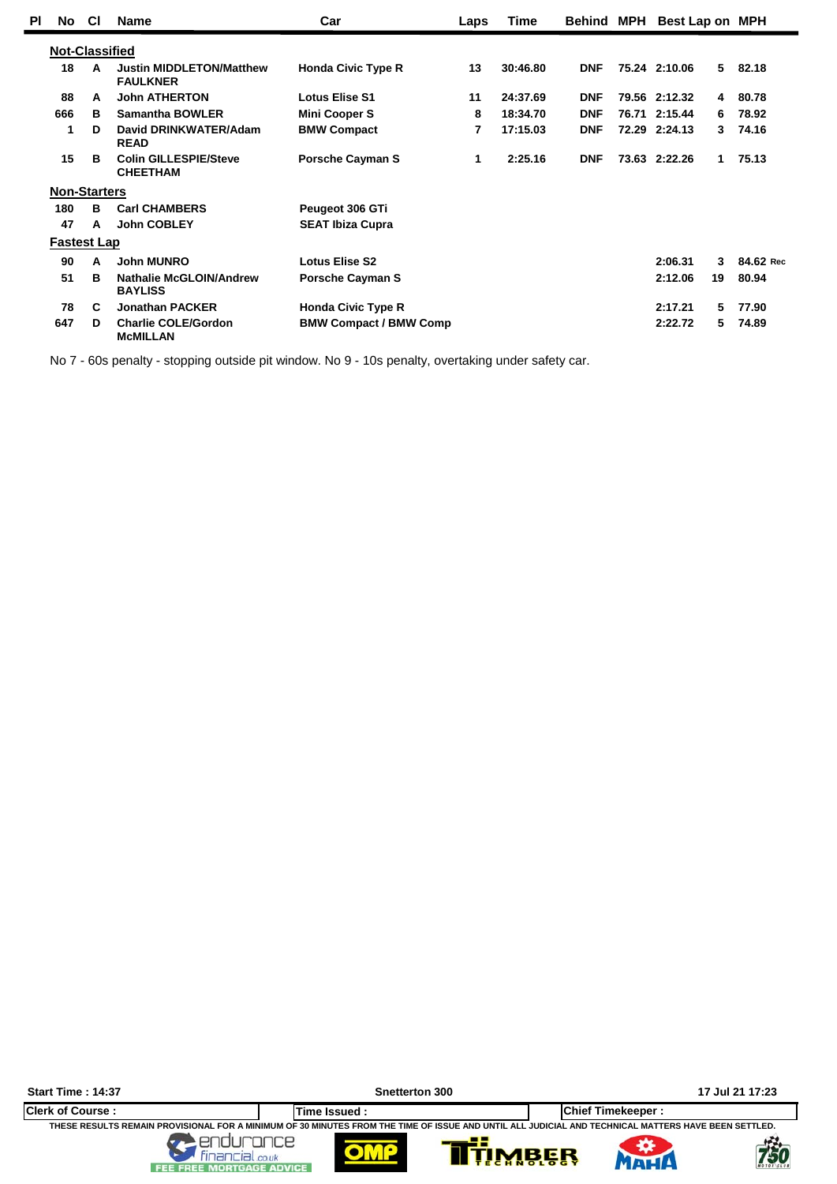| ΡI | No.                   | <b>CI</b> | <b>Name</b>                                        | Car                           | Laps | Time     | <b>Behind MPH</b> | Best Lap on MPH |    |           |
|----|-----------------------|-----------|----------------------------------------------------|-------------------------------|------|----------|-------------------|-----------------|----|-----------|
|    | <b>Not-Classified</b> |           |                                                    |                               |      |          |                   |                 |    |           |
|    | 18                    | A         | <b>Justin MIDDLETON/Matthew</b><br><b>FAULKNER</b> | <b>Honda Civic Type R</b>     | 13   | 30:46.80 | <b>DNF</b>        | 75.24 2:10.06   | 5  | 82.18     |
|    | 88                    | A         | <b>John ATHERTON</b>                               | <b>Lotus Elise S1</b>         | 11   | 24:37.69 | <b>DNF</b>        | 79.56 2:12.32   | 4  | 80.78     |
|    | 666                   | в         | <b>Samantha BOWLER</b>                             | <b>Mini Cooper S</b>          | 8    | 18:34.70 | <b>DNF</b>        | 76.71 2:15.44   | 6  | 78.92     |
|    | 1                     | D         | David DRINKWATER/Adam<br><b>READ</b>               | <b>BMW Compact</b>            | 7    | 17:15.03 | <b>DNF</b>        | 72.29 2:24.13   | 3. | 74.16     |
|    | 15                    | в         | <b>Colin GILLESPIE/Steve</b><br><b>CHEETHAM</b>    | <b>Porsche Cayman S</b>       | 1    | 2:25.16  | <b>DNF</b>        | 73.63 2:22.26   | 1  | 75.13     |
|    | <b>Non-Starters</b>   |           |                                                    |                               |      |          |                   |                 |    |           |
|    | 180                   | в         | <b>Carl CHAMBERS</b>                               | Peugeot 306 GTi               |      |          |                   |                 |    |           |
|    | 47                    | A         | <b>John COBLEY</b>                                 | <b>SEAT Ibiza Cupra</b>       |      |          |                   |                 |    |           |
|    | <b>Fastest Lap</b>    |           |                                                    |                               |      |          |                   |                 |    |           |
|    | 90                    | A         | <b>John MUNRO</b>                                  | <b>Lotus Elise S2</b>         |      |          |                   | 2:06.31         | 3  | 84.62 Rec |
|    | 51                    | в         | <b>Nathalie McGLOIN/Andrew</b><br><b>BAYLISS</b>   | <b>Porsche Cayman S</b>       |      |          |                   | 2:12.06         | 19 | 80.94     |
|    | 78                    | C         | <b>Jonathan PACKER</b>                             | <b>Honda Civic Type R</b>     |      |          |                   | 2:17.21         | 5. | 77.90     |
|    | 647                   | D         | <b>Charlie COLE/Gordon</b><br><b>McMILLAN</b>      | <b>BMW Compact / BMW Comp</b> |      |          |                   | 2:22.72         | 5. | 74.89     |

No 7 - 60s penalty - stopping outside pit window. No 9 - 10s penalty, overtaking under safety car.

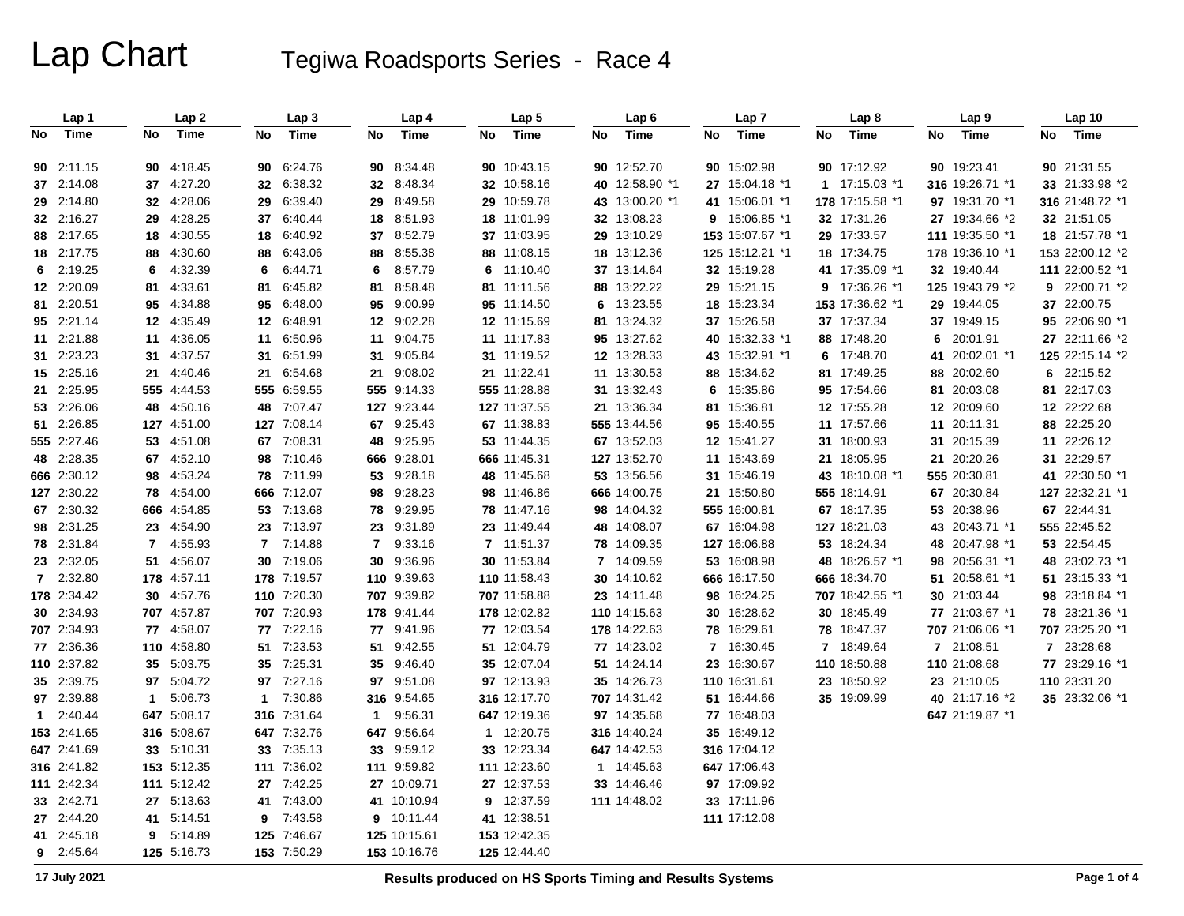# Lap Chart Tegiwa Roadsports Series - Race 4

|    | Lap 1       |                | Lap <sub>2</sub> |                | Lap <sub>3</sub> |                | Lap 4        |    | Lap <sub>5</sub> |    | Lap6           |    | Lap <sub>7</sub> |    | Lap <sub>8</sub> |    | Lap <sub>9</sub> |    | Lap 10          |
|----|-------------|----------------|------------------|----------------|------------------|----------------|--------------|----|------------------|----|----------------|----|------------------|----|------------------|----|------------------|----|-----------------|
| No | <b>Time</b> | No             | Time             | No             | <b>Time</b>      | No             | <b>Time</b>  | No | Time             | No | <b>Time</b>    | No | Time             | No | Time             | No | Time             | No | Time            |
|    | 90 2:11.15  |                | 90 4:18.45       | 90             | 6:24.76          | 90             | 8:34.48      |    | 90 10:43.15      |    | 90 12:52.70    |    | 90 15:02.98      |    | 90 17:12.92      |    | 90 19:23.41      |    | 90 21:31.55     |
|    | 37 2:14.08  |                | 37 4:27.20       |                | 32 6:38.32       | 32             | 8:48.34      |    | 32 10:58.16      |    | 40 12:58.90 *1 |    | 27 15:04.18 *1   |    | 1 17:15.03 *1    |    | 316 19:26.71 *1  |    | 33 21:33.98 *2  |
|    | 29 2:14.80  |                | 32 4:28.06       | 29             | 6:39.40          | 29             | 8:49.58      |    | 29 10:59.78      |    | 43 13:00.20 *1 |    | 41 15:06.01 *1   |    | 178 17:15.58 *1  |    | 97 19:31.70 *1   |    | 316 21:48.72 *1 |
|    | 32 2:16.27  |                | 29 4:28.25       | 37             | 6:40.44          | 18             | 8:51.93      |    | 18 11:01.99      |    | 32 13:08.23    |    | 9 $15:06.85$ *1  |    | 32 17:31.26      |    | 27 19:34.66 *2   |    | 32 21:51.05     |
|    | 88 2:17.65  |                | 18 4:30.55       |                | 18 6:40.92       | 37             | 8:52.79      |    | 37 11:03.95      |    | 29 13:10.29    |    | 153 15:07.67 *1  |    | 29 17:33.57      |    | 111 19:35.50 *1  |    | 18 21:57.78 *1  |
|    | 18 2:17.75  |                | 88 4:30.60       | 88             | 6:43.06          | 88             | 8:55.38      |    | 88 11:08.15      |    | 18 13:12.36    |    | 125 15:12.21 *1  |    | 18 17:34.75      |    | 178 19:36.10 *1  |    | 153 22:00.12 *2 |
| 6  | 2:19.25     | 6              | 4:32.39          | 6              | 6:44.71          | 6              | 8:57.79      |    | 6 11:10.40       |    | 37 13:14.64    |    | 32 15:19.28      |    | 41 17:35.09 *1   |    | 32 19:40.44      |    | 111 22:00.52 *1 |
|    | 12 2:20.09  | 81             | 4:33.61          | 81             | 6:45.82          | 81             | 8:58.48      |    | 81 11:11.56      |    | 88 13:22.22    |    | 29 15:21.15      |    | 9 17:36.26 *1    |    | 125 19:43.79 *2  |    | 9 22:00.71 *2   |
|    | 81 2:20.51  |                | 95 4:34.88       |                | 95 6:48.00       | 95             | 9:00.99      |    | 95 11:14.50      |    | 6 13:23.55     |    | 18 15:23.34      |    | 153 17:36.62 *1  |    | 29 19:44.05      |    | 37 22:00.75     |
|    | 95 2:21.14  |                | 12 4:35.49       |                | 12 6:48.91       | 12             | 9:02.28      |    | 12 11:15.69      |    | 81 13:24.32    |    | 37 15:26.58      |    | 37 17:37.34      |    | 37 19:49.15      |    | 95 22:06.90 *1  |
|    | 11 2:21.88  |                | 11 4:36.05       | 11             | 6:50.96          | 11             | 9:04.75      |    | 11 11:17.83      |    | 95 13:27.62    |    | 40 15:32.33 *1   |    | 88 17:48.20      | 6  | 20:01.91         |    | 27 22:11.66 *2  |
|    | 31 2:23.23  |                | 31 4:37.57       | 31             | 6:51.99          | 31             | 9:05.84      |    | 31 11:19.52      |    | 12 13:28.33    |    | 43 15:32.91 *1   |    | 6 17:48.70       |    | 41 20:02.01 *1   |    | 125 22:15.14 *2 |
|    | 15 2:25.16  | 21             | 4:40.46          | 21             | 6.54.68          | 21             | 9:08.02      |    | 21 11:22.41      |    | 11 13:30.53    |    | 88 15:34.62      |    | 81 17:49.25      | 88 | 20:02.60         |    | 6 22:15.52      |
|    | 21 2:25.95  |                | 555 4:44.53      |                | 555 6:59.55      |                | 555 9:14.33  |    | 555 11:28.88     |    | 31 13:32.43    |    | 6 15:35.86       |    | 95 17:54.66      | 81 | 20:03.08         |    | 81 22:17.03     |
|    | 53 2:26.06  |                | 48 4:50.16       |                | 48 7:07.47       |                | 127 9:23.44  |    | 127 11:37.55     |    | 21 13:36.34    |    | 81 15:36.81      |    | 12 17:55.28      |    | 12 20:09.60      |    | 12 22:22.68     |
|    | 51 2:26.85  |                | 127 4:51.00      |                | 127 7:08.14      | 67             | 9:25.43      |    | 67 11:38.83      |    | 555 13:44.56   |    | 95 15:40.55      |    | 11 17:57.66      |    | 11 20:11.31      |    | 88 22:25.20     |
|    | 555 2:27.46 |                | 53 4:51.08       | 67             | 7:08.31          | 48             | 9:25.95      |    | 53 11:44.35      |    | 67 13:52.03    |    | 12 15:41.27      |    | 31 18:00.93      | 31 | 20:15.39         |    | 11 22:26.12     |
|    | 48 2:28.35  |                | 67 4:52.10       | 98             | 7:10.46          | 666            | 9.28.01      |    | 666 11:45.31     |    | 127 13:52.70   |    | 11 15:43.69      |    | 21 18:05.95      |    | 21 20:20.26      |    | 31 22:29.57     |
|    | 666 2:30.12 |                | 98 4:53.24       |                | 78 7:11.99       | 53             | 9:28.18      |    | 48 11:45.68      |    | 53 13:56.56    |    | 31 15:46.19      |    | 43 18:10.08 *1   |    | 555 20:30.81     |    | 41 22:30.50 *1  |
|    | 127 2:30.22 |                | 78 4:54.00       |                | 666 7:12.07      | 98             | 9:28.23      |    | 98 11:46.86      |    | 666 14:00.75   |    | 21 15:50.80      |    | 555 18:14.91     |    | 67 20:30.84      |    | 127 22:32.21 *1 |
|    | 67 2:30.32  |                | 666 4:54.85      |                | 53 7:13.68       | 78             | 9:29.95      |    | 78 11:47.16      |    | 98 14:04.32    |    | 555 16:00.81     |    | 67 18:17.35      |    | 53 20:38.96      |    | 67 22:44.31     |
|    | 98 2:31.25  |                | 23 4:54.90       |                | 23 7:13.97       | 23             | 9:31.89      |    | 23 11:49.44      |    | 48 14:08.07    |    | 67 16:04.98      |    | 127 18:21.03     |    | 43 20:43.71 *1   |    | 555 22:45.52    |
|    | 78 2:31.84  | $\overline{7}$ | 4:55.93          | $\overline{7}$ | 7:14.88          | $\overline{7}$ | 9:33.16      |    | 7 11:51.37       |    | 78 14:09.35    |    | 127 16:06.88     |    | 53 18:24.34      |    | 48 20:47.98 *1   |    | 53 22:54.45     |
|    | 23 2:32.05  |                | 51 4:56.07       | 30             | 7:19.06          | 30             | 9:36.96      |    | 30 11:53.84      |    | 7 14:09.59     |    | 53 16:08.98      |    | 48 18:26.57 *1   | 98 | 20:56.31 *1      |    | 48 23:02.73 *1  |
|    | 7 2:32.80   |                | 178 4:57.11      |                | 178 7:19.57      |                | 110 9:39.63  |    | 110 11:58.43     |    | 30 14:10.62    |    | 666 16:17.50     |    | 666 18:34.70     |    | 51 20:58.61 *1   |    | 51 23:15.33 *1  |
|    | 178 2:34.42 |                | 30 4:57.76       |                | 110 7:20.30      |                | 707 9:39.82  |    | 707 11:58.88     |    | 23 14:11.48    |    | 98 16:24.25      |    | 707 18:42.55 *1  |    | 30 21:03.44      |    | 98 23:18.84 *1  |
|    | 30 2:34.93  |                | 707 4:57.87      |                | 707 7:20.93      | 178            | 9:41.44      |    | 178 12:02.82     |    | 110 14:15.63   |    | 30 16:28.62      |    | 30 18:45.49      |    | 77 21:03.67 *1   |    | 78 23:21.36 *1  |
|    | 707 2:34.93 |                | 77 4:58.07       |                | 77 7:22.16       | 77             | 9:41.96      |    | 77 12:03.54      |    | 178 14:22.63   |    | 78 16:29.61      |    | 78 18:47.37      |    | 707 21:06.06 *1  |    | 707 23:25.20 *1 |
|    | 77 2:36.36  |                | 110 4:58.80      |                | 51 7:23.53       | 51             | 9:42.55      |    | 51 12:04.79      |    | 77 14:23.02    |    | 7 16:30.45       |    | 7 18:49.64       |    | 7 21:08.51       |    | 7 23:28.68      |
|    | 110 2:37.82 |                | 35 5:03.75       |                | 35 7:25.31       | 35             | 9:46.40      |    | 35 12:07.04      |    | 51 14:24.14    |    | 23 16:30.67      |    | 110 18:50.88     |    | 110 21:08.68     |    | 77 23:29.16 *1  |
|    | 35 2:39.75  |                | 97 5:04.72       | 97             | 7:27.16          | 97             | 9:51.08      |    | 97 12:13.93      |    | 35 14:26.73    |    | 110 16:31.61     |    | 23 18:50.92      |    | 23 21:10.05      |    | 110 23:31.20    |
|    | 97 2:39.88  |                | 1 5:06.73        | $\mathbf 1$    | 7:30.86          |                | 316 9:54.65  |    | 316 12:17.70     |    | 707 14:31.42   |    | 51 16:44.66      |    | 35 19:09.99      |    | 40 21:17.16 *2   |    | 35 23:32.06 *1  |
|    | 12:40.44    |                | 647 5:08.17      |                | 316 7:31.64      | $\mathbf{1}$   | 9:56.31      |    | 647 12:19.36     |    | 97 14:35.68    |    | 77 16:48.03      |    |                  |    | 647 21:19.87 *1  |    |                 |
|    | 153 2:41.65 |                | 316 5:08.67      |                | 647 7:32.76      | 647            | 9:56.64      |    | 1 12:20.75       |    | 316 14:40.24   |    | 35 16:49.12      |    |                  |    |                  |    |                 |
|    | 647 2:41.69 |                | 33 5:10.31       |                | 33 7:35.13       | 33             | 9:59.12      |    | 33 12:23.34      |    | 647 14:42.53   |    | 316 17:04.12     |    |                  |    |                  |    |                 |
|    | 316 2:41.82 |                | 153 5:12.35      |                | 111 7:36.02      |                | 111 9:59.82  |    | 111 12:23.60     |    | 1 14:45.63     |    | 647 17:06.43     |    |                  |    |                  |    |                 |
|    | 111 2:42.34 |                | 111 5:12.42      | 27             | 7:42.25          |                | 27 10:09.71  |    | 27 12:37.53      |    | 33 14:46.46    |    | 97 17:09.92      |    |                  |    |                  |    |                 |
|    | 33 2:42.71  |                | 27 5:13.63       |                | 41 7:43.00       |                | 41 10:10.94  |    | 9 12:37.59       |    | 111 14:48.02   |    | 33 17:11.96      |    |                  |    |                  |    |                 |
|    | 27 2:44.20  |                | 41 5:14.51       | 9              | 7:43.58          |                | 9 10:11.44   |    | 41 12:38.51      |    |                |    | 111 17:12.08     |    |                  |    |                  |    |                 |
|    | 41 2:45.18  | 9              | 5:14.89          |                | 125 7:46.67      |                | 125 10:15.61 |    | 153 12:42.35     |    |                |    |                  |    |                  |    |                  |    |                 |
|    | 9 2:45.64   |                | 125 5:16.73      |                | 153 7:50.29      |                | 153 10:16.76 |    | 125 12:44.40     |    |                |    |                  |    |                  |    |                  |    |                 |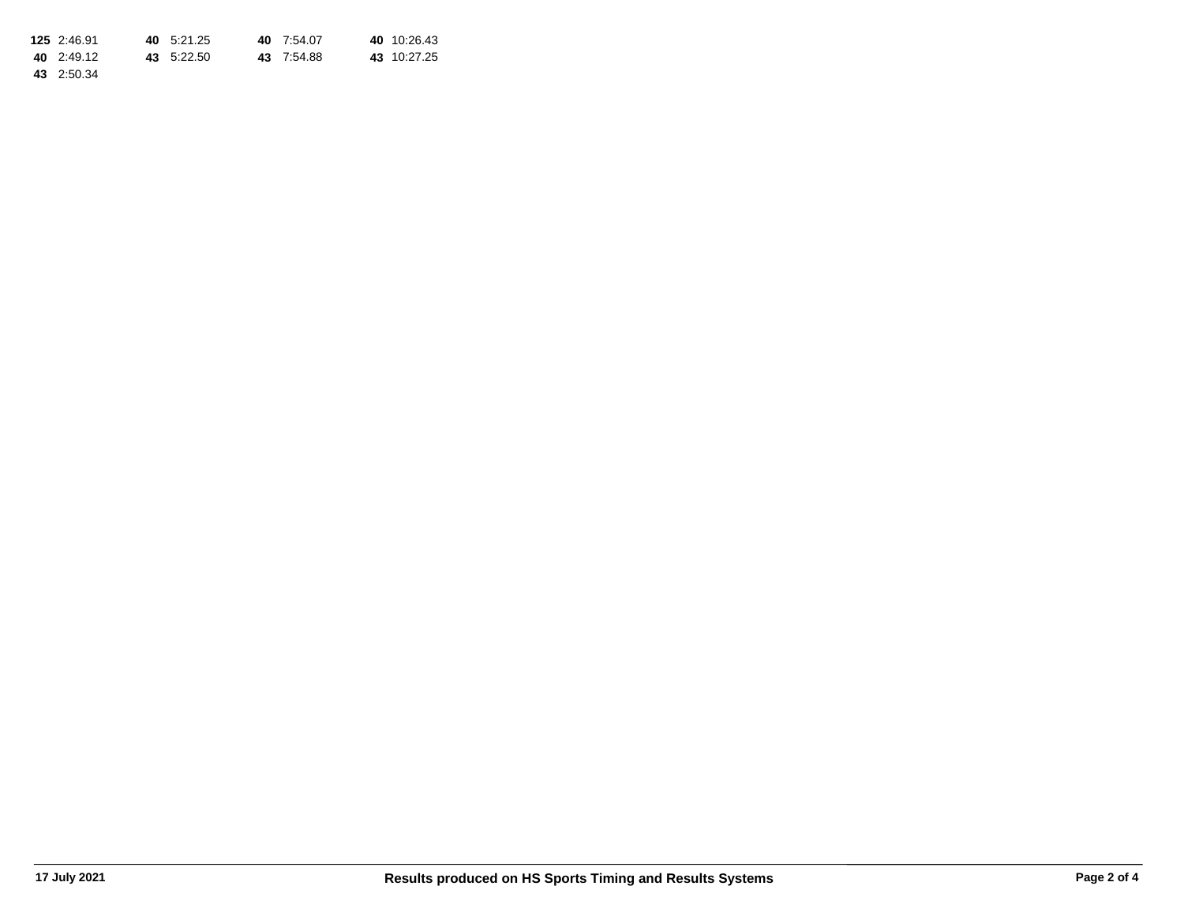| 125 2:46.91 | 40 5:21.25 | 40 7:54.07 | 40 10:26.43 |
|-------------|------------|------------|-------------|
| 40 2:49.12  | 43 5:22.50 | 43 7:54.88 | 43 10:27.25 |
| 43 2:50.34  |            |            |             |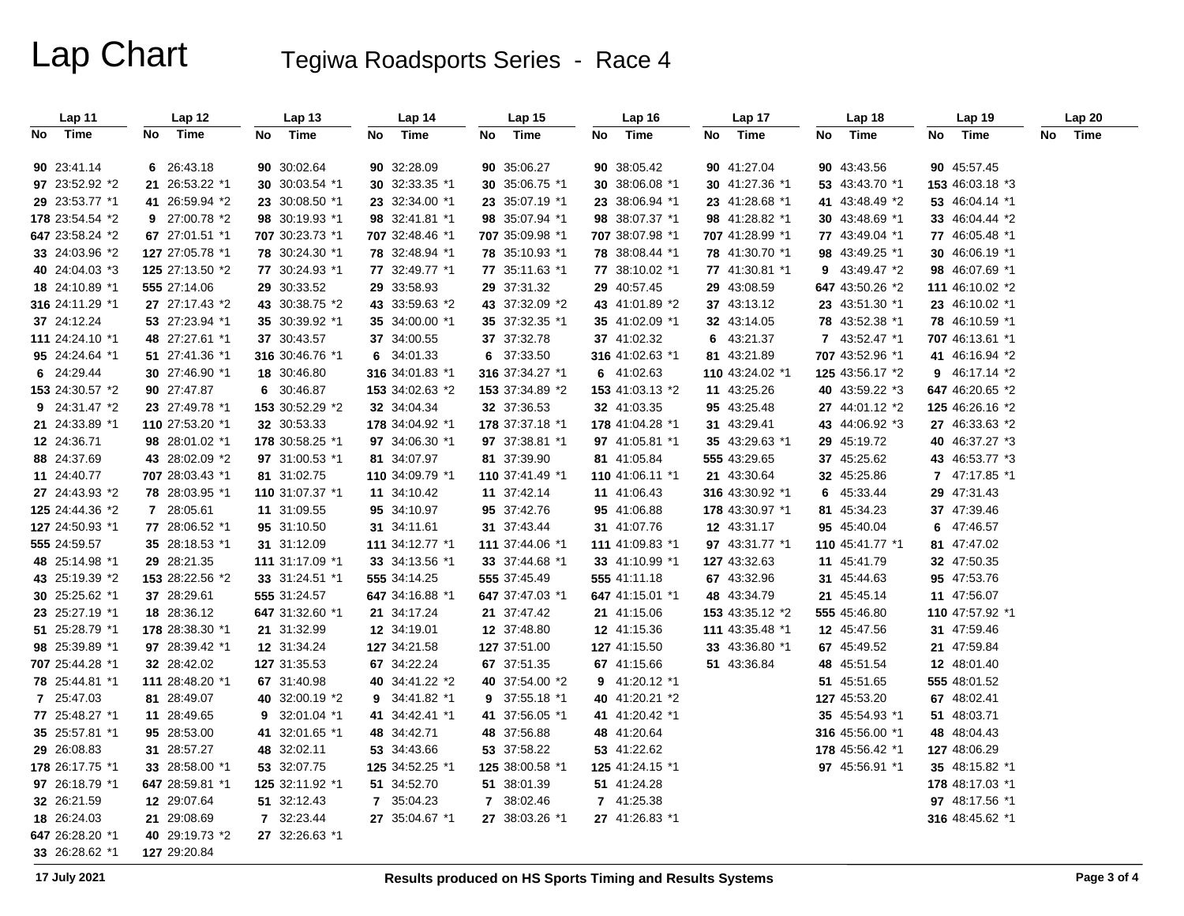# Lap Chart Tegiwa Roadsports Series - Race 4

| Lap 11          | Lap 12          | Lap 13          | Lap 14          | Lap 15          | Lap 16          | Lap 17          | Lap 18          | Lap 19          | Lap 20     |
|-----------------|-----------------|-----------------|-----------------|-----------------|-----------------|-----------------|-----------------|-----------------|------------|
| Time<br>No      | Time<br>No      | Time<br>No      | Time<br>No      | Time<br>No      | No<br>Time      | No<br>Time      | Time<br>No      | No<br>Time      | Time<br>No |
| 90 23:41.14     | 6 26:43.18      | 90 30:02.64     | 90 32:28.09     | 90 35:06.27     | 90 38:05.42     | 90 41:27.04     | 90 43:43.56     | 90 45:57.45     |            |
| 97 23:52.92 *2  | 21 26:53.22 *1  | 30 30:03.54 *1  | 30 32:33.35 *1  | 30 35:06.75 *1  | 30 38:06.08 *1  | 30 41:27.36 *1  | 53 43:43.70 *1  | 153 46:03.18 *3 |            |
| 29 23:53.77 *1  | 41 26:59.94 *2  | 23 30:08.50 *1  | 23 32:34.00 *1  | 23 35:07.19 *1  | 23 38:06.94 *1  | 23 41:28.68 *1  | 41 43:48.49 *2  | 53 46:04.14 *1  |            |
| 178 23:54.54 *2 | 9 27:00.78 *2   | 98 30:19.93 *1  | 98 32:41.81 *1  | 98 35:07.94 *1  | 98 38:07.37 *1  | 98 41:28.82 *1  | 30 43:48.69 *1  | 33 46:04.44 *2  |            |
| 647 23:58.24 *2 | 67 27:01.51 *1  | 707 30:23.73 *1 | 707 32:48.46 *1 | 707 35:09.98 *1 | 707 38:07.98 *1 | 707 41:28.99 *1 | 77 43:49.04 *1  | 77 46:05.48 *1  |            |
| 33 24:03.96 *2  | 127 27:05.78 *1 | 78 30:24.30 *1  | 78 32:48.94 *1  | 78 35:10.93 *1  | 78 38:08.44 *1  | 78 41:30.70 *1  | 98 43:49.25 *1  | 30 46:06.19 *1  |            |
| 40 24:04.03 *3  | 125 27:13.50 *2 | 77 30:24.93 *1  | 77 32:49.77 *1  | 77 35:11.63 *1  | 77 38:10.02 *1  | 77 41:30.81 *1  | 9 43:49.47 *2   | 98 46:07.69 *1  |            |
| 18 24:10.89 *1  | 555 27:14.06    | 29 30:33.52     | 29 33:58.93     | 29 37:31.32     | 29 40:57.45     | 29 43:08.59     | 647 43:50.26 *2 | 111 46:10.02 *2 |            |
| 316 24:11.29 *1 | 27 27:17.43 *2  | 43 30:38.75 *2  | 43 33:59.63 *2  | 43 37:32.09 *2  | 43 41:01.89 *2  | 37 43:13.12     | 23 43:51.30 *1  | 23 46:10.02 *1  |            |
| 37 24:12.24     | 53 27:23.94 *1  | 35 30:39.92 *1  | 35 34:00.00 *1  | 35 37:32.35 *1  | 35 41:02.09 *1  | 32 43:14.05     | 78 43:52.38 *1  | 78 46:10.59 *1  |            |
| 111 24:24.10 *1 | 48 27:27.61 *1  | 37 30:43.57     | 37 34:00.55     | 37 37:32.78     | 37 41:02.32     | 6 43:21.37      | 7 43:52.47 *1   | 707 46:13.61 *1 |            |
| 95 24:24.64 *1  | 51 27:41.36 *1  | 316 30:46.76 *1 | 6 34:01.33      | 6 37:33.50      | 316 41:02.63 *1 | 81 43:21.89     | 707 43:52.96 *1 | 41 46:16.94 *2  |            |
| 6 24:29.44      | 30 27:46.90 *1  | 18 30:46.80     | 316 34:01.83 *1 | 316 37:34.27 *1 | 6 41:02.63      | 110 43:24.02 *1 | 125 43:56.17 *2 | 9 46:17.14 *2   |            |
| 153 24:30.57 *2 | 90 27:47.87     | 6 30:46.87      | 153 34:02.63 *2 | 153 37:34.89 *2 | 153 41:03.13 *2 | 11 43:25.26     | 40 43:59.22 *3  | 647 46:20.65 *2 |            |
| 9 24:31.47 *2   | 23 27:49.78 *1  | 153 30:52.29 *2 | 32 34:04.34     | 32 37:36.53     | 32 41:03.35     | 95 43:25.48     | 27 44:01.12 *2  | 125 46:26.16 *2 |            |
| 21 24:33.89 *1  | 110 27:53.20 *1 | 32 30:53.33     | 178 34:04.92 *1 | 178 37:37.18 *1 | 178 41:04.28 *1 | 31 43:29.41     | 43 44:06.92 *3  | 27 46:33.63 *2  |            |
| 12 24:36.71     | 98 28:01.02 *1  | 178 30:58.25 *1 | 97 34:06.30 *1  | 97 37:38.81 *1  | 97 41:05.81 *1  | 35 43:29.63 *1  | 29 45:19.72     | 40 46:37.27 *3  |            |
| 88 24:37.69     | 43 28:02.09 *2  | 97 31:00.53 *1  | 81 34:07.97     | 81 37:39.90     | 81 41:05.84     | 555 43:29.65    | 37 45:25.62     | 43 46:53.77 *3  |            |
| 11 24:40.77     | 707 28:03.43 *1 | 81 31:02.75     | 110 34:09.79 *1 | 110 37:41.49 *1 | 110 41:06.11 *1 | 21 43:30.64     | 32 45:25.86     | 7 47:17.85 *1   |            |
| 27 24:43.93 *2  | 78 28:03.95 *1  | 110 31:07.37 *1 | 11 34:10.42     | 11 37:42.14     | 11 41:06.43     | 316 43:30.92 *1 | 6 45:33.44      | 29 47:31.43     |            |
| 125 24:44.36 *2 | 7 28:05.61      | 11 31:09.55     | 95 34:10.97     | 95 37:42.76     | 95 41:06.88     | 178 43:30.97 *1 | 81 45:34.23     | 37 47:39.46     |            |
| 127 24:50.93 *1 | 77 28:06.52 *1  | 95 31:10.50     | 31 34:11.61     | 31 37:43.44     | 31 41:07.76     | 12 43:31.17     | 95 45:40.04     | 6 47:46.57      |            |
| 555 24:59.57    | 35 28:18.53 *1  | 31 31:12.09     | 111 34:12.77 *1 | 111 37:44.06 *1 | 111 41:09.83 *1 | 97 43:31.77 *1  | 110 45:41.77 *1 | 81 47:47.02     |            |
| 48 25:14.98 *1  | 29 28:21.35     | 111 31:17.09 *1 | 33 34:13.56 *1  | 33 37:44.68 *1  | 33 41:10.99 *1  | 127 43:32.63    | 11 45:41.79     | 32 47:50.35     |            |
| 43 25:19.39 *2  | 153 28:22.56 *2 | 33 31:24.51 *1  | 555 34:14.25    | 555 37:45.49    | 555 41:11.18    | 67 43:32.96     | 31 45:44.63     | 95 47:53.76     |            |
| 30 25:25.62 *1  | 37 28:29.61     | 555 31:24.57    | 647 34:16.88 *1 | 647 37:47.03 *1 | 647 41:15.01 *1 | 48 43:34.79     | 21 45:45.14     | 11 47:56.07     |            |
| 23 25:27.19 *1  | 18 28:36.12     | 647 31:32.60 *1 | 21 34:17.24     | 21 37:47.42     | 21 41:15.06     | 153 43:35.12 *2 | 555 45:46.80    | 110 47:57.92 *1 |            |
| 51 25:28.79 *1  | 178 28:38.30 *1 | 21 31:32.99     | 12 34:19.01     | 12 37:48.80     | 12 41:15.36     | 111 43:35.48 *1 | 12 45:47.56     | 31 47:59.46     |            |
| 98 25:39.89 *1  | 97 28:39.42 *1  | 12 31:34.24     | 127 34:21.58    | 127 37:51.00    | 127 41:15.50    | 33 43:36.80 *1  | 67 45:49.52     | 21 47:59.84     |            |
| 707 25:44.28 *1 | 32 28:42.02     | 127 31:35.53    | 67 34:22.24     | 67 37:51.35     | 67 41:15.66     | 51 43:36.84     | 48 45:51.54     | 12 48:01.40     |            |
| 78 25:44.81 *1  | 111 28:48.20 *1 | 67 31:40.98     | 40 34:41.22 *2  | 40 37:54.00 *2  | 9 41:20.12 *1   |                 | 51 45:51.65     | 555 48:01.52    |            |
| 7 25:47.03      | 81 28:49.07     | 40 32:00.19 *2  | 9 34:41.82 *1   | 9 37:55.18 *1   | 40 41:20.21 *2  |                 | 127 45:53.20    | 67 48:02.41     |            |
| 77 25:48.27 *1  | 11 28:49.65     | 9 32:01.04 *1   | 41 34:42.41 *1  | 41 37:56.05 *1  | 41 41:20.42 *1  |                 | 35 45:54.93 *1  | 51 48:03.71     |            |
| 35 25:57.81 *1  | 95 28:53.00     | 41 32:01.65 *1  | 48 34:42.71     | 48 37:56.88     | 48 41:20.64     |                 | 316 45:56.00 *1 | 48 48:04.43     |            |
| 29 26:08.83     | 31 28:57.27     | 48 32:02.11     | 53 34:43.66     | 53 37:58.22     | 53 41:22.62     |                 | 178 45:56.42 *1 | 127 48:06.29    |            |
| 178 26:17.75 *1 | 33 28:58.00 *1  | 53 32:07.75     | 125 34:52.25 *1 | 125 38:00.58 *1 | 125 41:24.15 *1 |                 | 97 45:56.91 *1  | 35 48:15.82 *1  |            |
| 97 26:18.79 *1  | 647 28:59.81 *1 | 125 32:11.92 *1 | 51 34:52.70     | 51 38:01.39     | 51 41:24.28     |                 |                 | 178 48:17.03 *1 |            |
| 32 26:21.59     | 12 29:07.64     | 51 32:12.43     | 7 35:04.23      | 7 38:02.46      | 7 41:25.38      |                 |                 | 97 48:17.56 *1  |            |
| 18 26:24.03     | 21 29:08.69     | 7 32:23.44      | 27 35:04.67 *1  | 27 38:03.26 *1  | 27 41:26.83 *1  |                 |                 | 316 48:45.62 *1 |            |
| 647 26:28.20 *1 | 40 29:19.73 *2  | 27 32:26.63 *1  |                 |                 |                 |                 |                 |                 |            |
| 33 26:28.62 *1  | 127 29:20.84    |                 |                 |                 |                 |                 |                 |                 |            |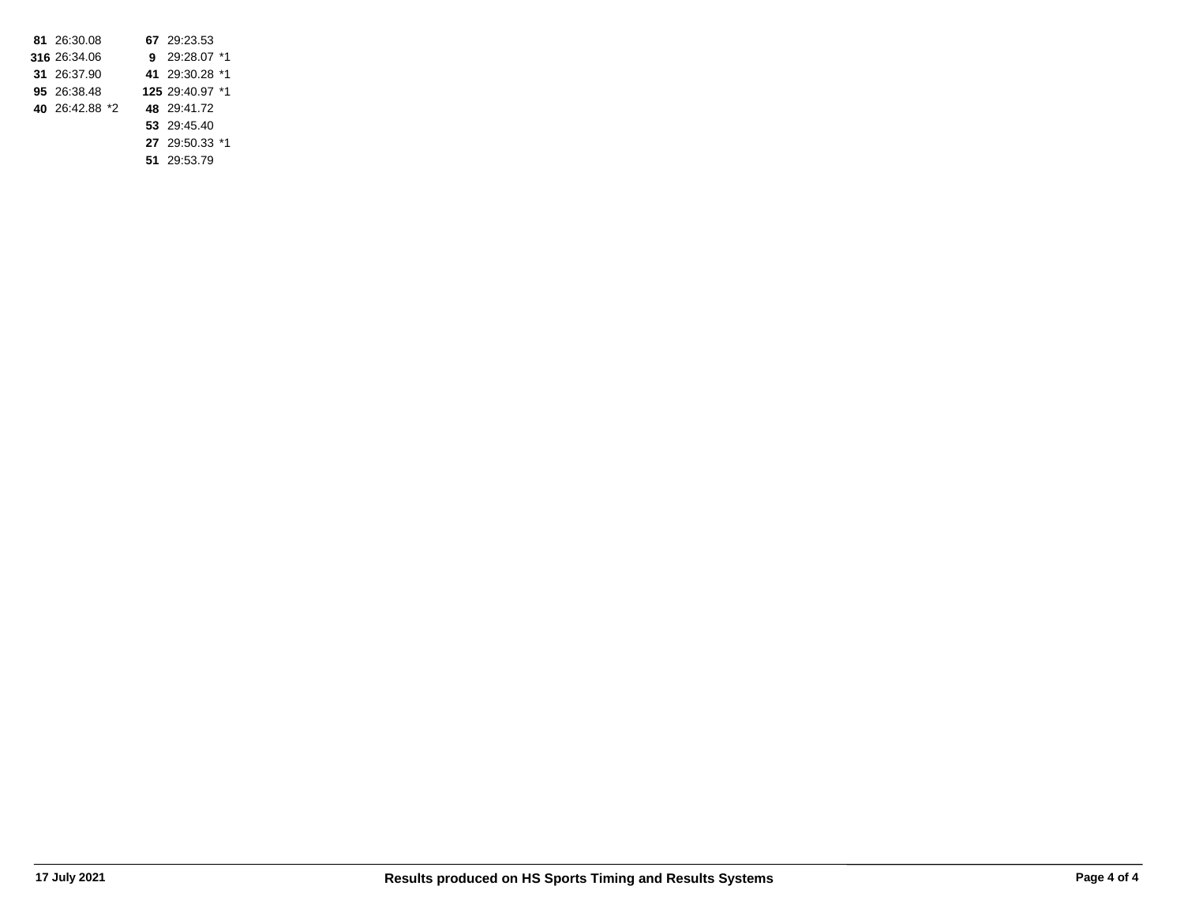| 81 26:30.08    |  | 67 29:23.53     |  |
|----------------|--|-----------------|--|
| 316 26:34.06   |  | 9 29:28.07 *1   |  |
| 31 26:37.90    |  | 41 29:30.28 *1  |  |
| 95 26:38.48    |  | 125 29:40.97 *1 |  |
| 40 26:42.88 *2 |  | 48 29:41.72     |  |
|                |  | 53 29:45.40     |  |
|                |  | 27 29:50.33 *1  |  |

**51** 29:53.79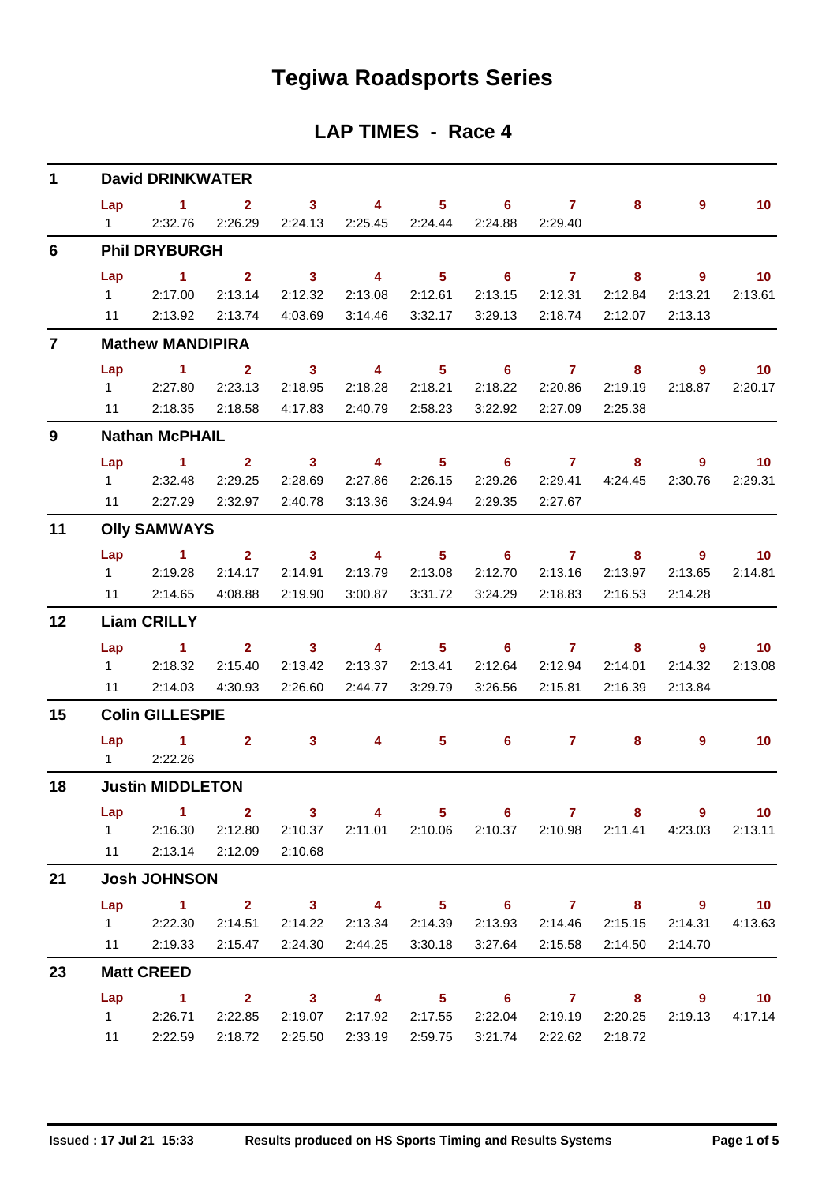# **Tegiwa Roadsports Series**

## **LAP TIMES - Race 4**

| $\mathbf{1}$   |                | <b>David DRINKWATER</b>                   |                    |                     |                                               |                                       |                                             |                                |                           |                                       |                             |
|----------------|----------------|-------------------------------------------|--------------------|---------------------|-----------------------------------------------|---------------------------------------|---------------------------------------------|--------------------------------|---------------------------|---------------------------------------|-----------------------------|
|                |                | Lap 1 2 3 4 5 6 7                         |                    |                     |                                               |                                       |                                             |                                | 8                         | 9                                     | 10                          |
|                | $1 \quad \Box$ | 2:32.76                                   | 2:26.29            | 2:24.13             |                                               |                                       | 2:24.88                                     | 2:29.40                        |                           |                                       |                             |
| 6              |                | <b>Phil DRYBURGH</b>                      |                    |                     |                                               |                                       |                                             |                                |                           |                                       |                             |
|                | Lap            | $\overline{1}$ $\overline{2}$<br>12:17.00 | 2:13.14            | $\sim$ 3<br>2:12.32 | $\sim$ 4<br>2:13.08                           | $\overline{\phantom{1}}$ 5<br>2:12.61 | 2:13.15                                     | $6 \overline{7}$<br>2:12.31    | 8 <sub>1</sub><br>2:12.84 | $\overline{\phantom{a}}$ 9<br>2:13.21 | 10<br>2:13.61               |
|                |                | 11 2:13.92                                | 2:13.74            | 4:03.69             | 3:14.46                                       | 3:32.17                               |                                             |                                | 3:29.13 2:18.74 2:12.07   | 2:13.13                               |                             |
| $\overline{7}$ |                | <b>Mathew MANDIPIRA</b>                   |                    |                     |                                               |                                       |                                             |                                |                           |                                       |                             |
|                | Lap            | 1 2 3 4 5 6 7 8                           |                    |                     |                                               |                                       |                                             |                                |                           | - 9                                   | $\blacksquare$ 10           |
|                |                | 1 2:27.80                                 | 2:23.13            | 2:18.95             | 2:18.28                                       | 2:18.21                               |                                             | 2:18.22 2:20.86                | 2:19.19                   | 2:18.87                               | 2:20.17                     |
|                |                | 11 2:18.35                                | 2:18.58            | 4:17.83             | 2:40.79 2:58.23                               |                                       |                                             | 3:22.92 2:27.09                | 2:25.38                   |                                       |                             |
| 9              |                | <b>Nathan McPHAIL</b>                     |                    |                     |                                               |                                       |                                             |                                |                           |                                       |                             |
|                | Lap            | $1 \t 2 \t 3$                             |                    |                     | $\overline{\mathbf{4}}$                       |                                       | 5 6 7 8                                     |                                |                           | 9                                     | $\blacksquare$ 10           |
|                |                | 1 2:32.48                                 | 2:29.25            | 2:28.69             | 2:27.86                                       | 2:26.15                               |                                             |                                | 2:29.26 2:29.41 4:24.45   | 2:30.76                               | 2:29.31                     |
|                |                | 11 2:27.29 2:32.97                        |                    | 2:40.78             | 3:13.36                                       | 3:24.94                               | 2:29.35                                     | 2:27.67                        |                           |                                       |                             |
| 11             |                | <b>Olly SAMWAYS</b>                       |                    |                     |                                               |                                       |                                             |                                |                           |                                       |                             |
|                | Lap            | 1 2 3 4 5 6 7                             |                    |                     |                                               |                                       |                                             |                                | 8                         | - 9                                   | $\blacksquare$ 10           |
|                |                | 12:19.28<br>11 2:14.65                    | 2:14.17<br>4:08.88 | 2:14.91<br>2:19.90  | 2:13.79<br>3:00.87                            | 2:13.08<br>3:31.72                    | 2:12.70<br>3:24.29                          | 2:13.16<br>2:18.83             | 2:13.97<br>2:16.53        | 2:13.65<br>2:14.28                    | 2:14.81                     |
|                |                |                                           |                    |                     |                                               |                                       |                                             |                                |                           |                                       |                             |
| 12             |                | <b>Liam CRILLY</b>                        |                    |                     |                                               |                                       |                                             |                                |                           |                                       |                             |
|                |                | Lap 1<br>12:18.32                         | 2:15.40            | $2 \t 3$<br>2:13.42 | $\sim$ 4<br>2:13.37                           | $\overline{\phantom{a}}$ 5<br>2:13.41 |                                             | $6\qquad 7$<br>2:12.64 2:12.94 | $8 -$<br>2:14.01          | - 9<br>2:14.32                        | 10 <sup>°</sup><br>2:13.08  |
|                |                | 11 2:14.03                                | 4:30.93            | 2:26.60             | 2:44.77                                       | 3:29.79                               | 3:26.56                                     | 2:15.81                        | 2:16.39                   | 2:13.84                               |                             |
| 15             |                | <b>Colin GILLESPIE</b>                    |                    |                     |                                               |                                       |                                             |                                |                           |                                       |                             |
|                |                | Lap 1 2 3                                 |                    |                     | $\sim$ 4 and $\sim$ 4 and $\sim$ 4 and $\sim$ |                                       | $5 \t\t 6 \t\t 7$                           |                                | 8                         | $\overline{9}$                        | 10                          |
|                | $1 \quad \Box$ | 2:22.26                                   |                    |                     |                                               |                                       |                                             |                                |                           |                                       |                             |
| 18             |                | <b>Justin MIDDLETON</b>                   |                    |                     |                                               |                                       |                                             |                                |                           |                                       |                             |
|                | Lap            | 1 2 3 4 5 6 7 8 9 10                      |                    |                     |                                               |                                       |                                             |                                |                           |                                       |                             |
|                | 11             | 1 2:16.30 2:12.80 2:10.37                 | 2:13.14 2:12.09    | 2:10.68             |                                               |                                       | 2:11.01  2:10.06  2:10.37  2:10.98  2:11.41 |                                |                           | 4:23.03                               | 2:13.11                     |
|                |                | <b>Josh JOHNSON</b>                       |                    |                     |                                               |                                       |                                             |                                |                           |                                       |                             |
| 21             |                |                                           |                    |                     |                                               |                                       |                                             |                                |                           |                                       |                             |
|                |                | Lap 1 2 3 4 5 6 7 8 9 10<br>12:22.30      | 2:14.51            | 2:14.22             |                                               | 2:13.34 2:14.39                       |                                             | 2:13.93 2:14.46                | 2:15.15                   | 2:14.31                               | 4:13.63                     |
|                |                | 11 2:19.33                                | 2:15.47            |                     | 2:24.30 2:44.25                               | 3:30.18                               |                                             | 3:27.64 2:15.58                | 2:14.50                   | 2:14.70                               |                             |
| 23             |                | <b>Matt CREED</b>                         |                    |                     |                                               |                                       |                                             |                                |                           |                                       |                             |
|                | Lap            | $\sim$ $-1$                               |                    |                     |                                               |                                       | 2 3 4 5 6 7 8 9                             |                                |                           |                                       | $\overline{\phantom{0}}$ 10 |
|                |                | 12:26.71                                  | 2:22.85            | 2:19.07             |                                               | 2:17.92 2:17.55                       |                                             |                                | 2:22.04 2:19.19 2:20.25   | 2:19.13                               | 4:17.14                     |
|                | 11             | 2:22.59                                   | 2:18.72            | 2:25.50             | 2:33.19                                       | 2:59.75                               |                                             | 3:21.74 2:22.62                | 2:18.72                   |                                       |                             |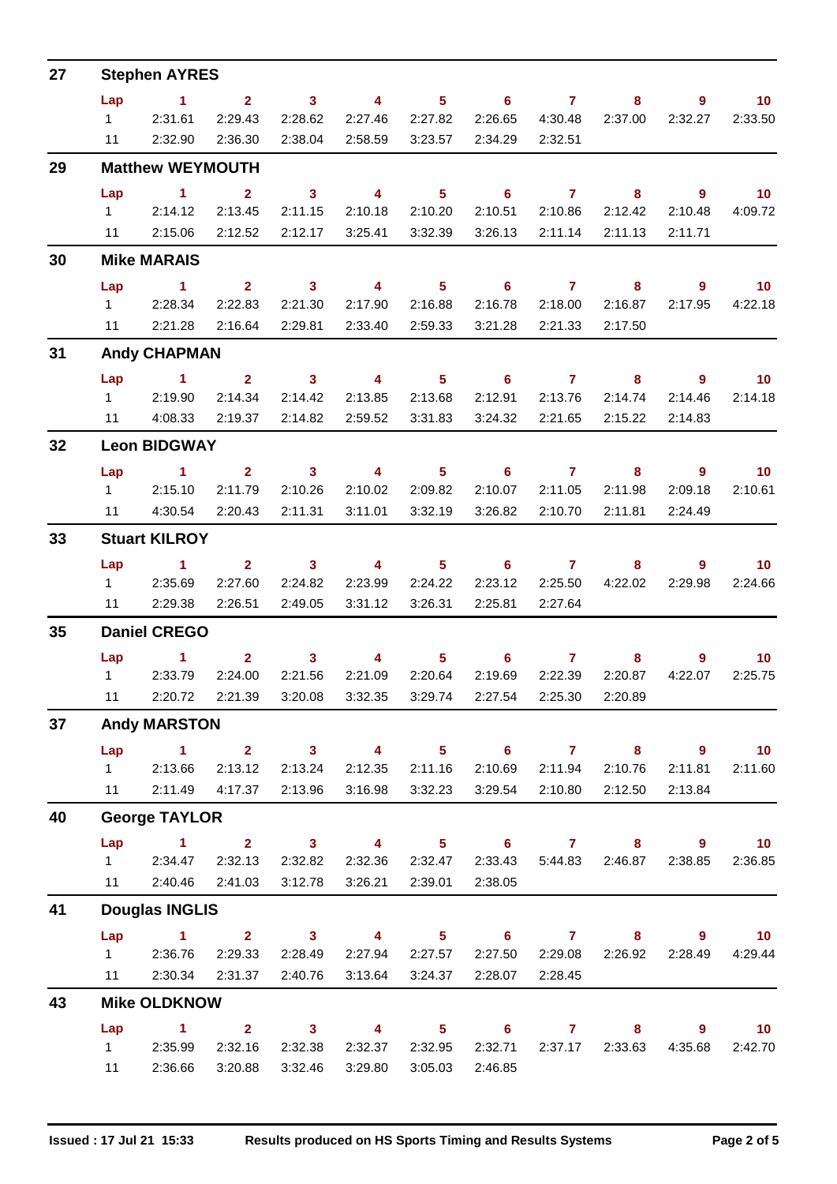| 27 |                      | <b>Stephen AYRES</b>    |                                                         |                         |                                  |                                                                                                                                                                                                                                                                                                                                    |                            |                   |                 |                                 |                          |  |  |
|----|----------------------|-------------------------|---------------------------------------------------------|-------------------------|----------------------------------|------------------------------------------------------------------------------------------------------------------------------------------------------------------------------------------------------------------------------------------------------------------------------------------------------------------------------------|----------------------------|-------------------|-----------------|---------------------------------|--------------------------|--|--|
|    | Lap                  | $\sim$ 1                | $\overline{2}$                                          | $\sim$ 3                | $\overline{4}$                   |                                                                                                                                                                                                                                                                                                                                    | $5 \t\t 6 \t\t 7$          |                   | 8               | $\overline{9}$                  | 10 <sup>°</sup>          |  |  |
|    | $1 \quad \Box$       | 2:31.61                 | 2:29.43                                                 | 2:28.62                 | 2:27.46                          | 2:27.82                                                                                                                                                                                                                                                                                                                            | 2:26.65                    | 4:30.48           | 2:37.00         | 2:32.27                         | 2:33.50                  |  |  |
|    | 11                   | 2:32.90                 | 2:36.30                                                 | 2:38.04                 | 2:58.59                          | 3:23.57                                                                                                                                                                                                                                                                                                                            | 2:34.29                    | 2:32.51           |                 |                                 |                          |  |  |
| 29 |                      | <b>Matthew WEYMOUTH</b> |                                                         |                         |                                  |                                                                                                                                                                                                                                                                                                                                    |                            |                   |                 |                                 |                          |  |  |
|    | Lap                  | $\blacktriangleleft$    | $\mathbf{2}$                                            | $\mathbf{3}$            | $\overline{4}$                   | 5 <sub>1</sub>                                                                                                                                                                                                                                                                                                                     | $\overline{\phantom{0}}$ 6 | $\mathbf{7}$      | 8               | $\overline{9}$                  | 10 <sub>1</sub>          |  |  |
|    | $1 \quad$            | 2:14.12                 | 2:13.45                                                 | 2:11.15                 | 2:10.18                          | 2:10.20                                                                                                                                                                                                                                                                                                                            | 2:10.51                    | 2:10.86           | 2:12.42         | 2:10.48                         | 4:09.72                  |  |  |
|    | 11                   | 2:15.06                 | 2:12.52                                                 | 2:12.17                 | 3:25.41                          | 3:32.39                                                                                                                                                                                                                                                                                                                            | 3:26.13                    | 2:11.14           | 2:11.13         | 2:11.71                         |                          |  |  |
| 30 |                      | <b>Mike MARAIS</b>      |                                                         |                         |                                  |                                                                                                                                                                                                                                                                                                                                    |                            |                   |                 |                                 |                          |  |  |
|    | Lap                  | $\sim$ 1                | $2^{\circ}$                                             | $\overline{\mathbf{3}}$ | $\sim$ 4                         |                                                                                                                                                                                                                                                                                                                                    |                            | $5 \t\t 6 \t\t 7$ | 8               | $9^{\circ}$                     | $\blacksquare$ 10        |  |  |
|    | $1 \quad \Box$       | 2:28.34                 | 2:22.83                                                 | 2:21.30                 | 2:17.90                          | 2:16.88                                                                                                                                                                                                                                                                                                                            | 2:16.78                    | 2:18.00           | 2:16.87         | 2:17.95                         | 4:22.18                  |  |  |
|    | 11                   | 2:21.28                 | 2:16.64                                                 | 2:29.81                 | 2:33.40                          | 2:59.33                                                                                                                                                                                                                                                                                                                            | 3:21.28                    | 2:21.33           | 2:17.50         |                                 |                          |  |  |
| 31 | <b>Andy CHAPMAN</b>  |                         |                                                         |                         |                                  |                                                                                                                                                                                                                                                                                                                                    |                            |                   |                 |                                 |                          |  |  |
|    | Lap                  | $\blacktriangleleft$    | 2 <sup>1</sup>                                          | $\overline{\mathbf{3}}$ | $\overline{4}$                   | $5 -$                                                                                                                                                                                                                                                                                                                              | 6                          | $\mathbf{7}$      | 8               | $\overline{9}$                  | 10 <sub>1</sub>          |  |  |
|    | $1 \quad \Box$       | 2:19.90                 | 2:14.34                                                 | 2:14.42                 | 2:13.85                          | 2:13.68                                                                                                                                                                                                                                                                                                                            | 2:12.91                    | 2:13.76           | 2:14.74         | 2:14.46                         | 2:14.18                  |  |  |
|    | 11                   | 4:08.33                 | 2:19.37                                                 | 2:14.82                 | 2:59.52                          | 3:31.83                                                                                                                                                                                                                                                                                                                            | 3:24.32                    | 2:21.65           | 2:15.22         | 2:14.83                         |                          |  |  |
| 32 | <b>Leon BIDGWAY</b>  |                         |                                                         |                         |                                  |                                                                                                                                                                                                                                                                                                                                    |                            |                   |                 |                                 |                          |  |  |
|    | Lap                  | $\sim$ 1                | $2^{\circ}$                                             | $\overline{\mathbf{3}}$ | $\sim$ 4                         |                                                                                                                                                                                                                                                                                                                                    | $5 \t\t 6$                 | $\overline{7}$    | 8               | 9                               | $\blacksquare$ 10        |  |  |
|    | $1 \quad \Box$       | 2:15.10                 | 2:11.79                                                 | 2:10.26                 | 2:10.02                          | 2:09.82                                                                                                                                                                                                                                                                                                                            | 2:10.07                    | 2:11.05           | 2:11.98         | 2:09.18                         | 2:10.61                  |  |  |
|    | 11                   | 4:30.54                 | 2:20.43                                                 | 2:11.31                 | 3:11.01                          | 3:32.19                                                                                                                                                                                                                                                                                                                            | 3:26.82                    | 2:10.70           | 2:11.81         | 2:24.49                         |                          |  |  |
| 33 | <b>Stuart KILROY</b> |                         |                                                         |                         |                                  |                                                                                                                                                                                                                                                                                                                                    |                            |                   |                 |                                 |                          |  |  |
|    | Lap                  | $\sim$ 1                | $\overline{2}$                                          | $\sim$ 3                | $\overline{4}$                   | 5 <sub>1</sub>                                                                                                                                                                                                                                                                                                                     |                            | 67                | 8               | $9^{\circ}$                     | 10 <sub>1</sub>          |  |  |
|    | $1 \quad \Box$       | 2:35.69                 | 2:27.60                                                 | 2:24.82                 | 2:23.99                          | 2:24.22                                                                                                                                                                                                                                                                                                                            | 2:23.12                    | 2:25.50           | 4:22.02         | 2:29.98                         | 2:24.66                  |  |  |
|    | 11                   | 2:29.38                 | 2:26.51                                                 | 2:49.05                 | 3:31.12                          | 3:26.31                                                                                                                                                                                                                                                                                                                            | 2:25.81                    | 2:27.64           |                 |                                 |                          |  |  |
| 35 | <b>Daniel CREGO</b>  |                         |                                                         |                         |                                  |                                                                                                                                                                                                                                                                                                                                    |                            |                   |                 |                                 |                          |  |  |
|    | Lap                  | $\blacktriangleleft$    | 2 <sup>1</sup>                                          | 3 <sup>1</sup>          |                                  | $\overline{4}$ and $\overline{4}$ and $\overline{4}$ and $\overline{4}$ and $\overline{4}$ and $\overline{4}$ and $\overline{4}$ and $\overline{4}$ and $\overline{4}$ and $\overline{4}$ and $\overline{4}$ and $\overline{4}$ and $\overline{4}$ and $\overline{4}$ and $\overline{4}$ and $\overline{4}$ and $\overline{4}$ and | $5 \t\t 6$                 | $\mathbf{7}$      | 8               | 9                               | 10 <sup>°</sup>          |  |  |
|    | $1 \quad \Box$       | 2:33.79                 | 2:24.00                                                 | 2:21.56                 | 2:21.09                          | 2:20.64                                                                                                                                                                                                                                                                                                                            | 2:19.69                    | 2:22.39           | 2:20.87         | 4:22.07                         | 2:25.75                  |  |  |
|    | 11                   |                         | 2:20.72 2:21.39 3:20.08 3:32.35 3:29.74 2:27.54 2:25.30 |                         |                                  |                                                                                                                                                                                                                                                                                                                                    |                            |                   | 2:20.89         |                                 |                          |  |  |
| 37 |                      | <b>Andy MARSTON</b>     |                                                         |                         |                                  |                                                                                                                                                                                                                                                                                                                                    |                            |                   |                 |                                 |                          |  |  |
|    | Lap                  | $\sim$ $\sim$ 1         | 2 3 4 5 6 7 8                                           |                         |                                  |                                                                                                                                                                                                                                                                                                                                    |                            |                   |                 | - 9                             | 10 <sub>1</sub>          |  |  |
|    | $1 \quad \Box$       | 2:13.66                 | 2:13.12                                                 | 2:13.24                 | 2:12.35                          | 2:11.16                                                                                                                                                                                                                                                                                                                            | 2:10.69                    | 2:11.94           | 2:10.76         | 2:11.81                         | 2:11.60                  |  |  |
|    | 11                   |                         | 2:11.49  4:17.37                                        | 2:13.96                 | 3:16.98                          | 3:32.23                                                                                                                                                                                                                                                                                                                            |                            | 3:29.54 2:10.80   | 2:12.50         | 2:13.84                         |                          |  |  |
| 40 |                      | <b>George TAYLOR</b>    |                                                         |                         |                                  |                                                                                                                                                                                                                                                                                                                                    |                            |                   |                 |                                 |                          |  |  |
|    | Lap                  | $\sim$ 1                | $2 \t 3$                                                |                         | $\sim$ 4 and $\sim$ 4 and $\sim$ |                                                                                                                                                                                                                                                                                                                                    |                            | $5 \t\t 6 \t\t 7$ |                 | 8 9                             | $\overline{\mathbf{10}}$ |  |  |
|    |                      | 1 2:34.47 2:32.13       |                                                         | 2:32.82                 | 2:32.36 2:32.47                  |                                                                                                                                                                                                                                                                                                                                    |                            |                   |                 | 2:33.43 5:44.83 2:46.87 2:38.85 | 2:36.85                  |  |  |
|    | 11                   |                         | 2:40.46 2:41.03                                         | 3:12.78                 | 3:26.21                          | 2:39.01                                                                                                                                                                                                                                                                                                                            | 2:38.05                    |                   |                 |                                 |                          |  |  |
| 41 |                      | <b>Douglas INGLIS</b>   |                                                         |                         |                                  |                                                                                                                                                                                                                                                                                                                                    |                            |                   |                 |                                 |                          |  |  |
|    | Lap                  | $\sim$ $\sim$ 1.        |                                                         |                         |                                  |                                                                                                                                                                                                                                                                                                                                    |                            |                   |                 | 2 3 4 5 6 7 8 9 10              |                          |  |  |
|    | $1 \quad \Box$       | 2:36.76                 | 2:29.33                                                 | 2:28.49                 | 2:27.94                          | 2:27.57                                                                                                                                                                                                                                                                                                                            | 2:27.50                    | 2:29.08           | 2:26.92         | 2:28.49                         | 4:29.44                  |  |  |
|    | 11                   |                         | 2:30.34 2:31.37                                         | 2:40.76                 |                                  | 3:13.64 3:24.37                                                                                                                                                                                                                                                                                                                    | 2:28.07                    | 2:28.45           |                 |                                 |                          |  |  |
| 43 |                      | <b>Mike OLDKNOW</b>     |                                                         |                         |                                  |                                                                                                                                                                                                                                                                                                                                    |                            |                   |                 |                                 |                          |  |  |
|    | Lap                  | $\sim$ 1                | $2 \t 3$                                                |                         | $\sim$ 4 and $\sim$ 4 and $\sim$ |                                                                                                                                                                                                                                                                                                                                    |                            | $5 \t\t 6 \t\t 7$ |                 | $9^{\circ}$<br>$8 - 1$          | 10 <sub>1</sub>          |  |  |
|    |                      | 1 2:35.99 2:32.16       |                                                         | 2:32.38                 |                                  | 2:32.37 2:32.95                                                                                                                                                                                                                                                                                                                    | 2:32.71                    |                   | 2:37.17 2:33.63 | 4:35.68                         | 2:42.70                  |  |  |
|    | 11                   | 2:36.66                 | 3:20.88                                                 | 3:32.46                 | 3:29.80                          | 3:05.03                                                                                                                                                                                                                                                                                                                            | 2:46.85                    |                   |                 |                                 |                          |  |  |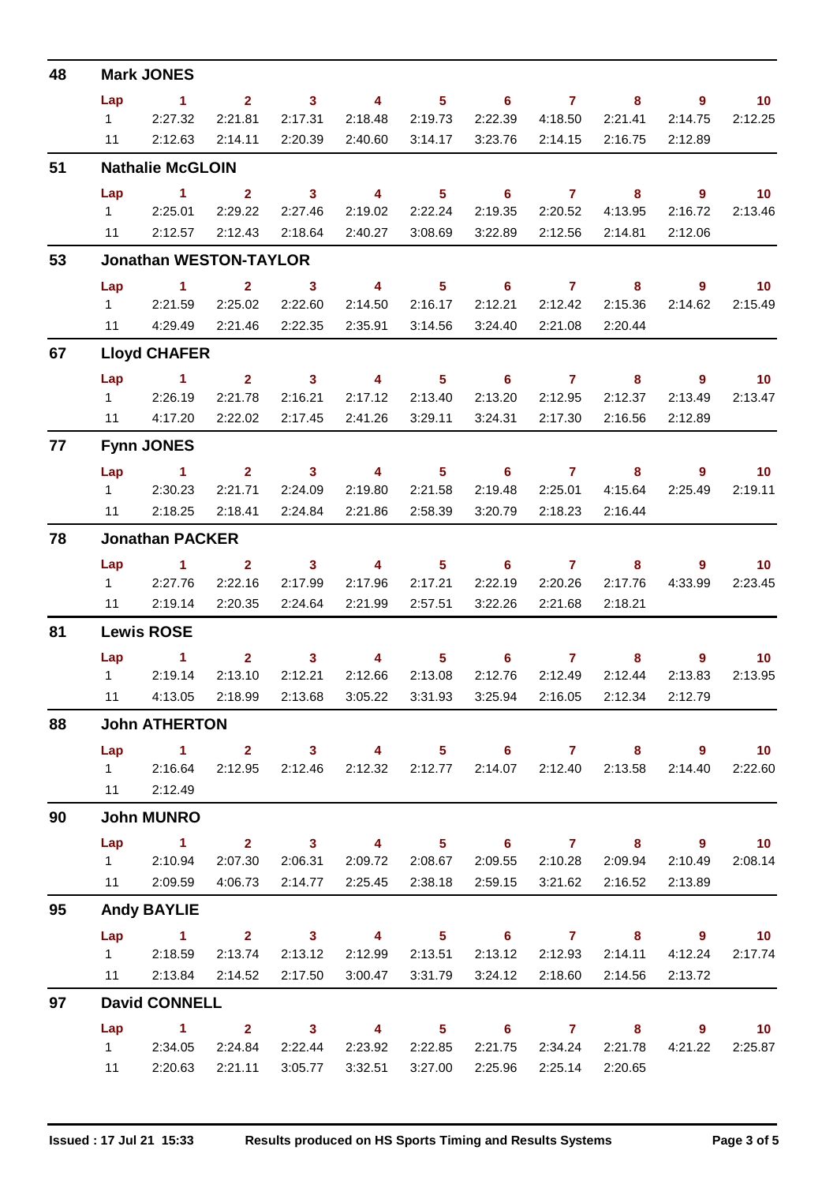| 48 |                               | <b>Mark JONES</b>                  |                                                 |                            |                                         |                 |                                 |                 |                         |                    |                 |  |  |
|----|-------------------------------|------------------------------------|-------------------------------------------------|----------------------------|-----------------------------------------|-----------------|---------------------------------|-----------------|-------------------------|--------------------|-----------------|--|--|
|    | Lap                           | $\sim$ 1                           | 2 <sup>1</sup>                                  | $\overline{\mathbf{3}}$    | $\overline{\mathbf{4}}$                 | 5 <sub>1</sub>  | $\overline{\phantom{a}}$ 6      | $\overline{7}$  | 8                       | $9^{\circ}$        | 10 <sup>°</sup> |  |  |
|    | $1 \quad$                     | 2:27.32                            | 2:21.81                                         | 2:17.31                    | 2:18.48                                 | 2:19.73         | 2:22.39                         | 4:18.50         | 2:21.41                 | 2:14.75            | 2:12.25         |  |  |
|    | 11                            | 2:12.63                            | 2:14.11                                         | 2:20.39                    | 2:40.60                                 | 3:14.17         | 3:23.76                         | 2:14.15         | 2:16.75                 | 2:12.89            |                 |  |  |
| 51 |                               | <b>Nathalie McGLOIN</b>            |                                                 |                            |                                         |                 |                                 |                 |                         |                    |                 |  |  |
|    | Lap                           | $\sim$ 1                           | $\mathbf{2}$                                    | $\overline{\mathbf{3}}$    | $\overline{4}$                          | 5 <sub>5</sub>  | $6^{\circ}$                     | $\mathbf{7}$    | 8                       | $\overline{9}$     | 10 <sub>1</sub> |  |  |
|    |                               | 12:25.01                           | 2:29.22                                         | 2:27.46                    | 2:19.02                                 | 2:22.24         | 2:19.35                         | 2:20.52         | 4:13.95                 | 2:16.72            | 2:13.46         |  |  |
|    | 11                            | 2:12.57                            | 2:12.43                                         | 2:18.64                    | 2:40.27                                 | 3:08.69         | 3:22.89                         | 2:12.56         | 2:14.81                 | 2:12.06            |                 |  |  |
| 53 | <b>Jonathan WESTON-TAYLOR</b> |                                    |                                                 |                            |                                         |                 |                                 |                 |                         |                    |                 |  |  |
|    | Lap                           | $\sim$ 1                           | $\mathbf{2}$                                    | $\sim$ 3                   | $\overline{4}$                          | 5 <sub>1</sub>  | $\overline{\phantom{a}}$ 6      | $\overline{7}$  | 8                       | 9                  | $\overline{10}$ |  |  |
|    | $1 \quad \Box$                | 2:21.59                            | 2:25.02                                         | 2:22.60                    | 2:14.50                                 | 2:16.17         | 2:12.21                         | 2:12.42         | 2:15.36                 | 2:14.62            | 2:15.49         |  |  |
|    | 11                            | 4:29.49                            | 2:21.46                                         | 2:22.35                    | 2:35.91                                 | 3:14.56         | 3:24.40                         | 2:21.08         | 2:20.44                 |                    |                 |  |  |
| 67 |                               | <b>Lloyd CHAFER</b>                |                                                 |                            |                                         |                 |                                 |                 |                         |                    |                 |  |  |
|    | Lap                           | $\sim$ 1                           | 2 <sub>2</sub>                                  | $\overline{\phantom{a}}$ 3 | $\overline{4}$                          | 5 <sub>1</sub>  | $6^{\circ}$                     | $\mathbf{7}$    | 8                       | $\overline{9}$     | 10 <sup>°</sup> |  |  |
|    |                               | 1 2:26.19                          | 2:21.78                                         | 2:16.21                    | 2:17.12                                 | 2:13.40         | 2:13.20                         | 2:12.95         | 2:12.37                 | 2:13.49            | 2:13.47         |  |  |
|    | 11                            | 4:17.20                            | 2:22.02                                         | 2:17.45                    | 2:41.26                                 | 3:29.11         | 3:24.31                         | 2:17.30         | 2:16.56                 | 2:12.89            |                 |  |  |
| 77 |                               | <b>Fynn JONES</b>                  |                                                 |                            |                                         |                 |                                 |                 |                         |                    |                 |  |  |
|    | Lap                           | $\sim$ 1                           | 2 <sup>2</sup>                                  | $\overline{\mathbf{3}}$    | $\overline{4}$                          | $5 -$           | $\overline{\phantom{a}}$ 6      | $\overline{7}$  | 8                       | 9                  | 10              |  |  |
|    | $1 \quad \Box$                | 2:30.23                            | 2:21.71                                         | 2:24.09                    | 2:19.80                                 | 2:21.58         | 2:19.48                         | 2:25.01         | 4:15.64                 | 2:25.49            | 2:19.11         |  |  |
|    | 11                            | 2:18.25                            | 2:18.41                                         | 2:24.84                    | 2:21.86                                 | 2:58.39         | 3:20.79                         | 2:18.23         | 2:16.44                 |                    |                 |  |  |
| 78 | <b>Jonathan PACKER</b>        |                                    |                                                 |                            |                                         |                 |                                 |                 |                         |                    |                 |  |  |
|    | Lap                           | $\sim$ 1                           | $\mathbf{2}$                                    | $\overline{\mathbf{3}}$    | $\overline{4}$                          | 5 <sub>1</sub>  | $6^{\circ}$                     | $\mathbf{7}$    | 8                       | $9^{\circ}$        | 10 <sup>°</sup> |  |  |
|    | $1 \quad \Box$                | 2:27.76                            | 2:22.16                                         | 2:17.99                    | 2:17.96                                 | 2:17.21         | 2:22.19                         | 2:20.26         | 2:17.76                 | 4:33.99            | 2:23.45         |  |  |
|    | 11                            | 2:19.14                            | 2:20.35                                         | 2:24.64                    | 2:21.99                                 | 2:57.51         | 3:22.26                         | 2:21.68         | 2:18.21                 |                    |                 |  |  |
| 81 | <b>Lewis ROSE</b>             |                                    |                                                 |                            |                                         |                 |                                 |                 |                         |                    |                 |  |  |
|    | Lap                           | $\overline{1}$                     | $\mathbf{2}^-$                                  | 3 <sup>1</sup>             | 4                                       | $5 -$           | 6                               | $\mathbf{7}$    | 8                       | 9                  | 10 <sup>°</sup> |  |  |
|    | $1 \quad \Box$                | 2:19.14                            | 2:13.10                                         | 2:12.21                    | 2:12.66                                 | 2:13.08         | 2:12.76                         | 2:12.49         | 2:12.44                 | 2:13.83            | 2:13.95         |  |  |
|    | $11 -$                        |                                    | 4:13.05 2:18.99                                 | 2:13.68                    |                                         |                 | 3:05.22 3:31.93 3:25.94 2:16.05 |                 | 2:12.34                 | 2:12.79            |                 |  |  |
| 88 |                               | <b>John ATHERTON</b>               |                                                 |                            |                                         |                 |                                 |                 |                         |                    |                 |  |  |
|    | Lap                           | 1 2 3 4 5 6 7 8 9 10               |                                                 |                            |                                         |                 |                                 |                 |                         |                    |                 |  |  |
|    |                               | 1 2:16.64                          | 2:12.95                                         |                            | 2:12.46 2:12.32 2:12.77 2:14.07 2:12.40 |                 |                                 |                 | 2:13.58                 | 2:14.40            | 2:22.60         |  |  |
|    |                               | 11 2:12.49                         |                                                 |                            |                                         |                 |                                 |                 |                         |                    |                 |  |  |
| 90 |                               | <b>John MUNRO</b>                  |                                                 |                            |                                         |                 |                                 |                 |                         |                    |                 |  |  |
|    | Lap                           | $\sim$ $\sim$ 1.100                | $\overline{\mathbf{2}}$ $\overline{\mathbf{3}}$ |                            |                                         |                 |                                 |                 |                         | 4 5 6 7 8 9 10     |                 |  |  |
|    |                               | 1 2:10.94                          | 2:07.30                                         |                            | 2:06.31  2:09.72  2:08.67               |                 |                                 |                 | 2:09.55 2:10.28 2:09.94 | 2:10.49            | 2:08.14         |  |  |
|    |                               | 11 2:09.59                         | 4:06.73                                         | 2:14.77                    | 2:25.45                                 | 2:38.18         | 2:59.15                         | 3:21.62         | 2:16.52                 | 2:13.89            |                 |  |  |
| 95 |                               | <b>Andy BAYLIE</b>                 |                                                 |                            |                                         |                 |                                 |                 |                         |                    |                 |  |  |
|    | Lap                           | $\sim$ $\sim$ $\sim$ $\sim$ $\sim$ |                                                 |                            |                                         |                 |                                 |                 |                         | 2 3 4 5 6 7 8 9 10 |                 |  |  |
|    |                               | 1 2:18.59                          | 2:13.74                                         | 2:13.12                    | 2:12.99                                 | 2:13.51         | 2:13.12                         | 2:12.93         | 2:14.11                 | 4:12.24            | 2:17.74         |  |  |
|    |                               | 11 2:13.84                         | 2:14.52                                         | 2:17.50                    | 3:00.47                                 | 3:31.79         |                                 | 3:24.12 2:18.60 | 2:14.56                 | 2:13.72            |                 |  |  |
| 97 |                               | <b>David CONNELL</b>               |                                                 |                            |                                         |                 |                                 |                 |                         |                    |                 |  |  |
|    | Lap                           | $\sim$ $\sim$ 1.                   | $2 \t 3$                                        |                            | $\overline{4}$                          |                 | $5 \t\t 6 \t\t 7 \t\t 8$        |                 |                         |                    | $9$ 10          |  |  |
|    |                               | 1 2:34.05                          | 2:24.84                                         | 2:22.44                    |                                         | 2:23.92 2:22.85 |                                 | 2:21.75 2:34.24 | 2:21.78                 | 4:21.22            | 2:25.87         |  |  |
|    | 11                            | 2:20.63                            | 2:21.11                                         | 3:05.77                    | 3:32.51                                 | 3:27.00         | 2:25.96                         | 2:25.14         | 2:20.65                 |                    |                 |  |  |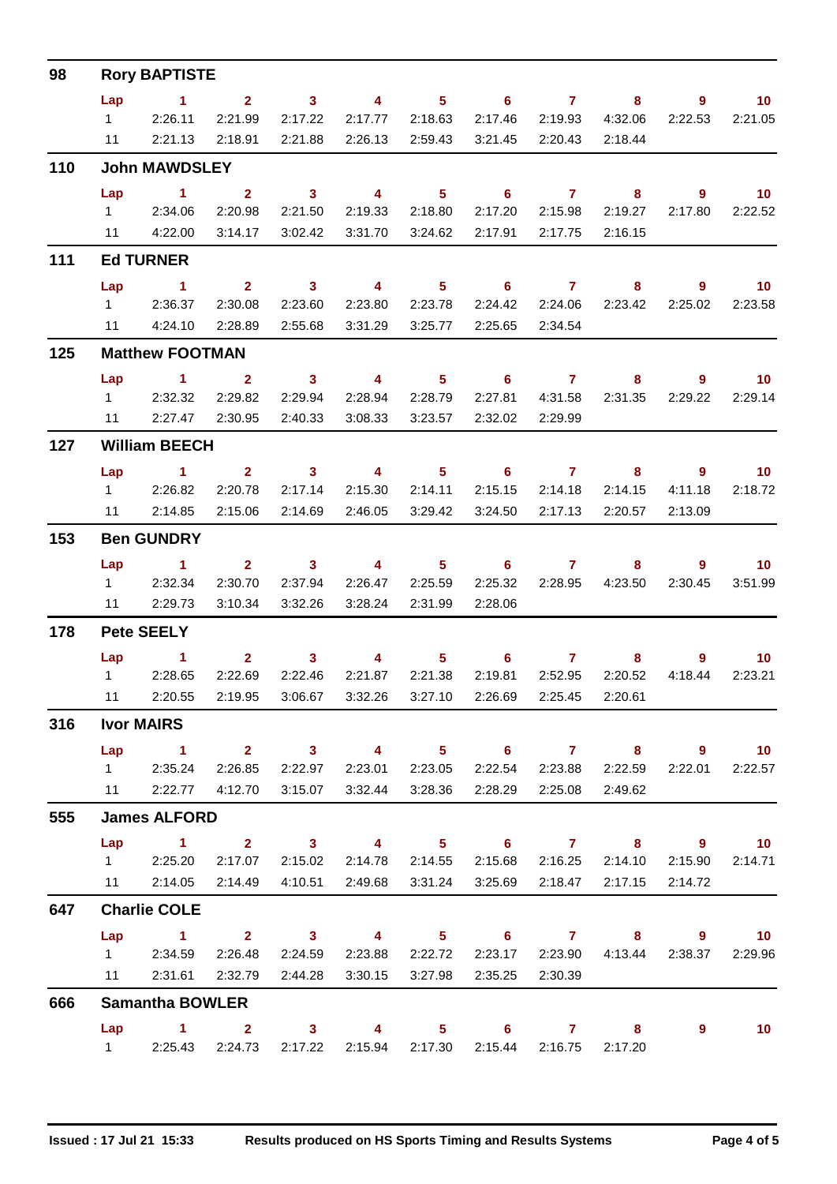| 98  |                      | <b>Rory BAPTISTE</b>                                                               |                |                 |                                                  |                   |                   |                 |                                                               |                 |                 |  |  |
|-----|----------------------|------------------------------------------------------------------------------------|----------------|-----------------|--------------------------------------------------|-------------------|-------------------|-----------------|---------------------------------------------------------------|-----------------|-----------------|--|--|
|     | Lap                  | $\sim$ $\sim$ 1.                                                                   | 2 3 4 5 6 7    |                 |                                                  |                   |                   |                 |                                                               | 8 9             | $\sim$ 10       |  |  |
|     |                      | 12:26.11                                                                           | 2:21.99        | 2:17.22         | 2:17.77                                          | 2:18.63           |                   | 2:17.46 2:19.93 | 4:32.06                                                       | 2:22.53         | 2:21.05         |  |  |
|     |                      | 11 2:21.13                                                                         | 2:18.91        | 2:21.88         | 2:26.13 2:59.43                                  |                   |                   | 3:21.45 2:20.43 | 2:18.44                                                       |                 |                 |  |  |
| 110 |                      | <b>John MAWDSLEY</b>                                                               |                |                 |                                                  |                   |                   |                 |                                                               |                 |                 |  |  |
|     | Lap                  | $\sim$ 1.                                                                          | $\overline{2}$ | $\sim$ 3        |                                                  |                   |                   |                 | 4 5 6 7 8                                                     | $9 \t 10$       |                 |  |  |
|     |                      | 1 2:34.06                                                                          | 2:20.98        | 2:21.50         |                                                  | 2:19.33   2:18.80 |                   | 2:17.20 2:15.98 | 2:19.27                                                       | 2:17.80         | 2:22.52         |  |  |
|     |                      | 11  4:22.00                                                                        | 3:14.17        | 3:02.42         |                                                  | 3:31.70 3:24.62   | 2:17.91           | 2:17.75         | 2:16.15                                                       |                 |                 |  |  |
| 111 |                      | <b>Ed TURNER</b>                                                                   |                |                 |                                                  |                   |                   |                 |                                                               |                 |                 |  |  |
|     | Lap                  | 1 2 3 4 5 6 7                                                                      |                |                 |                                                  |                   |                   |                 |                                                               | 8 9 10          |                 |  |  |
|     |                      | 1 2:36.37                                                                          | 2:30.08        | 2:23.60         | 2:23.80                                          | 2:23.78           |                   | 2:24.42 2:24.06 | 2:23.42                                                       | 2:25.02         | 2:23.58         |  |  |
|     |                      | 11 4:24.10                                                                         | 2:28.89        | 2:55.68         |                                                  |                   |                   | 2:25.65 2:34.54 |                                                               |                 |                 |  |  |
| 125 |                      | <b>Matthew FOOTMAN</b>                                                             |                |                 |                                                  |                   |                   |                 |                                                               |                 |                 |  |  |
|     |                      | Lap 1 2 3                                                                          |                |                 |                                                  |                   |                   |                 | 4 5 6 7 8 9 10                                                |                 |                 |  |  |
|     |                      | 1 2:32.32                                                                          | 2:29.82        | 2:29.94         | 2:28.94 2:28.79                                  |                   |                   |                 | 2:27.81  4:31.58  2:31.35                                     | 2:29.22         | 2:29.14         |  |  |
|     |                      | 11 2:27.47 2:30.95                                                                 |                | 2:40.33         | 3:08.33                                          | 3:23.57           | 2:32.02           | 2:29.99         |                                                               |                 |                 |  |  |
| 127 | <b>William BEECH</b> |                                                                                    |                |                 |                                                  |                   |                   |                 |                                                               |                 |                 |  |  |
|     | Lap                  | <b>Contract Manager</b>                                                            |                |                 | $2 \qquad 3 \qquad 4 \qquad 5 \qquad 6 \qquad 7$ |                   |                   |                 |                                                               | 8 9 10          |                 |  |  |
|     |                      | 1 2:26.82                                                                          | 2:20.78        | 2:17.14         | 2:15.30                                          | 2:14.11           |                   | 2:15.15 2:14.18 | 2:14.15                                                       | 4:11.18         | 2:18.72         |  |  |
|     |                      | 11 2:14.85                                                                         | 2:15.06        | 2:14.69         | 2:46.05 3:29.42                                  |                   |                   | 3:24.50 2:17.13 | 2:20.57                                                       | 2:13.09         |                 |  |  |
| 153 |                      | <b>Ben GUNDRY</b>                                                                  |                |                 |                                                  |                   |                   |                 |                                                               |                 |                 |  |  |
|     |                      | Lap 1                                                                              |                |                 | 2 3 4 5 6 7                                      |                   |                   |                 |                                                               | 8 9 10          |                 |  |  |
|     |                      | 1 2:32.34                                                                          |                | 2:30.70 2:37.94 |                                                  | 2:26.47 2:25.59   |                   |                 | 2:25.32 2:28.95 4:23.50                                       | 2:30.45         | 3:51.99         |  |  |
|     |                      | 11 2:29.73                                                                         | 3:10.34        | 3:32.26         | 3:28.24                                          | 2:31.99           | 2:28.06           |                 |                                                               |                 |                 |  |  |
| 178 | <b>Pete SEELY</b>    |                                                                                    |                |                 |                                                  |                   |                   |                 |                                                               |                 |                 |  |  |
|     |                      | Lap 1                                                                              |                |                 | $2 \t 3 \t 4$                                    |                   | $5 \t\t 6 \t\t 7$ |                 |                                                               | $8 - 1$         | $9$ 10          |  |  |
|     |                      | 1 2:28.65                                                                          | 2:22.69        | 2:22.46         |                                                  | 2:21.87 2:21.38   |                   | 2:19.81 2:52.95 | 2:20.52                                                       | 4:18.44         | 2:23.21         |  |  |
|     |                      | 11  2:20.55  2:19.95  3:06.67  3:32.26  3:27.10  2:26.69  2:25.45  2:20.61         |                |                 |                                                  |                   |                   |                 |                                                               |                 |                 |  |  |
| 316 |                      | <b>Ivor MAIRS</b>                                                                  |                |                 |                                                  |                   |                   |                 |                                                               |                 |                 |  |  |
|     |                      | Lap 1 2 3 4 5 6 7 8 9 10                                                           |                |                 |                                                  |                   |                   |                 |                                                               |                 |                 |  |  |
|     |                      | 1 2:35.24                                                                          |                |                 |                                                  |                   |                   |                 | 2:26.85  2:22.97  2:23.01  2:23.05  2:22.54  2:23.88  2:22.59 |                 | 2:22.01 2:22.57 |  |  |
|     |                      | 11   2:22.77   4:12.70   3:15.07   3:32.44   3:28.36   2:28.29   2:25.08   2:49.62 |                |                 |                                                  |                   |                   |                 |                                                               |                 |                 |  |  |
| 555 |                      | <b>James ALFORD</b>                                                                |                |                 |                                                  |                   |                   |                 |                                                               |                 |                 |  |  |
|     |                      | Lap 1 2 3 4 5 6 7 8 9 10                                                           |                |                 |                                                  |                   |                   |                 |                                                               |                 |                 |  |  |
|     |                      | 1 2:25.20 2:17.07 2:15.02 2:14.78 2:14.55 2:15.68 2:16.25 2:14.10                  |                |                 |                                                  |                   |                   |                 |                                                               | 2:15.90 2:14.71 |                 |  |  |
|     |                      | 11   2:14.05   2:14.49   4:10.51   2:49.68   3:31.24   3:25.69   2:18.47   2:17.15 |                |                 |                                                  |                   |                   |                 |                                                               | 2:14.72         |                 |  |  |
| 647 |                      | <b>Charlie COLE</b>                                                                |                |                 |                                                  |                   |                   |                 |                                                               |                 |                 |  |  |
|     |                      | Lap 1 2 3 4 5 6 7 8 9 10                                                           |                |                 |                                                  |                   |                   |                 |                                                               |                 |                 |  |  |
|     |                      | 1 2:34.59                                                                          | 2:26.48        | 2:24.59         | 2:23.88 2:22.72                                  |                   |                   |                 | 2:23.17 2:23.90 4:13.44 2:38.37 2:29.96                       |                 |                 |  |  |
|     |                      | 11  2:31.61  2:32.79  2:44.28  3:30.15  3:27.98  2:35.25  2:30.39                  |                |                 |                                                  |                   |                   |                 |                                                               |                 |                 |  |  |
| 666 |                      | <b>Samantha BOWLER</b>                                                             |                |                 |                                                  |                   |                   |                 |                                                               |                 |                 |  |  |
|     |                      | Lap 1 2 3 4 5 6 7 8                                                                |                |                 |                                                  |                   |                   |                 |                                                               | $\overline{9}$  | 10              |  |  |
|     |                      | 1 2:25.43 2:24.73 2:17.22 2:15.94 2:17.30 2:15.44 2:16.75 2:17.20                  |                |                 |                                                  |                   |                   |                 |                                                               |                 |                 |  |  |